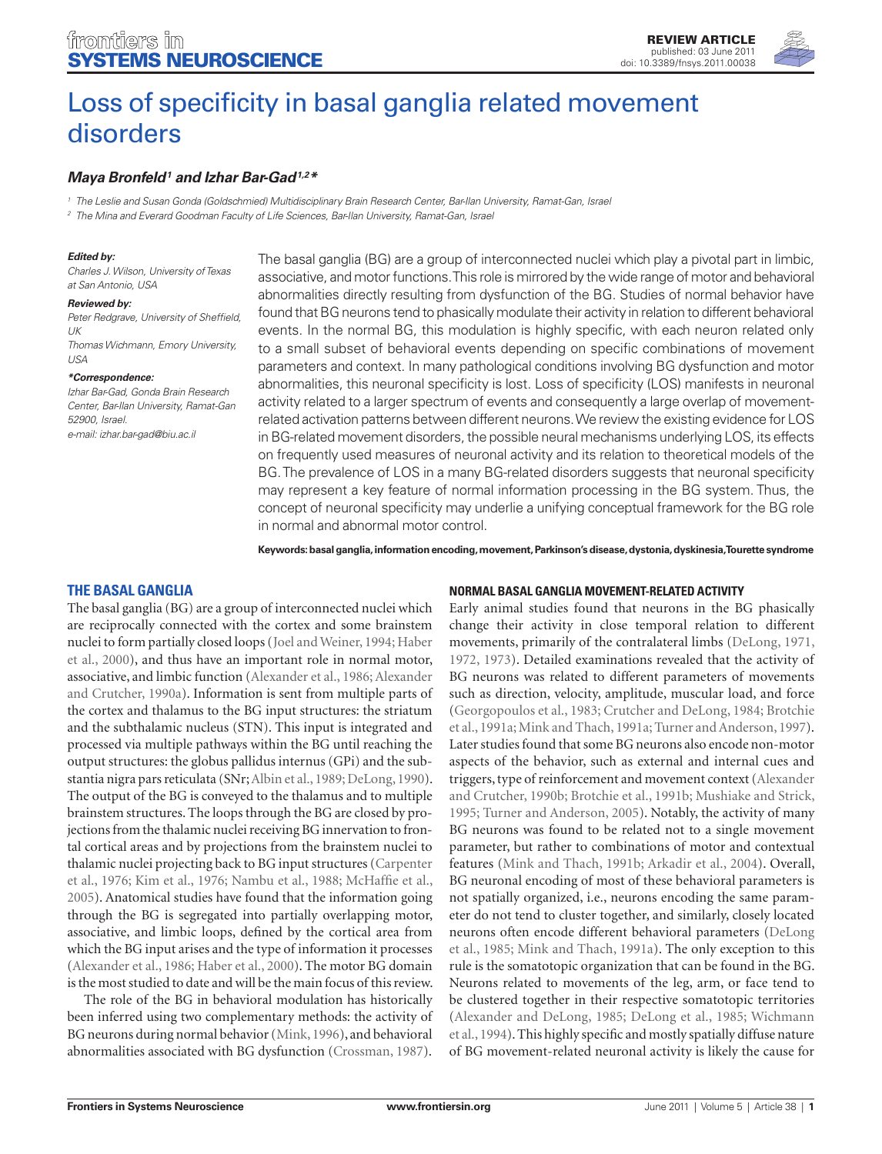

# [Loss of specificity in basal ganglia related movement](http://www.frontiersin.org/systems_neuroscience/10.3389/fnsys.2011.00038/abstract)  [disorders](http://www.frontiersin.org/systems_neuroscience/10.3389/fnsys.2011.00038/abstract)

## *[Maya Bronfeld](http://www.frontiersin.org/people/mayabronfeld/27509)1 and [Izhar Bar-Gad](http://www.frontiersin.org/people/izharbar_gad/6871)1,2\**

*<sup>1</sup> The Leslie and Susan Gonda (Goldschmied) Multidisciplinary Brain Research Center, Bar-Ilan University, Ramat-Gan, Israel*

*<sup>2</sup> The Mina and Everard Goodman Faculty of Life Sciences, Bar-Ilan University, Ramat-Gan, Israel*

#### *Edited by:*

*Charles J. Wilson, University of Texas at San Antonio, USA*

#### *Reviewed by:*

*USA*

*Peter Redgrave, University of Sheffield, UK Thomas Wichmann, Emory University,* 

#### *\*Correspondence:*

*Izhar Bar-Gad, Gonda Brain Research Center, Bar-Ilan University, Ramat-Gan 52900, Israel. e-mail: izhar.bar-gad@biu.ac.il*

The basal ganglia (BG) are a group of interconnected nuclei which play a pivotal part in limbic, associative, and motor functions. This role is mirrored by the wide range of motor and behavioral abnormalities directly resulting from dysfunction of the BG. Studies of normal behavior have found that BG neurons tend to phasically modulate their activity in relation to different behavioral events. In the normal BG, this modulation is highly specific, with each neuron related only to a small subset of behavioral events depending on specific combinations of movement parameters and context. In many pathological conditions involving BG dysfunction and motor abnormalities, this neuronal specificity is lost. Loss of specificity (LOS) manifests in neuronal activity related to a larger spectrum of events and consequently a large overlap of movementrelated activation patterns between different neurons. We review the existing evidence for LOS in BG-related movement disorders, the possible neural mechanisms underlying LOS, its effects on frequently used measures of neuronal activity and its relation to theoretical models of the BG. The prevalence of LOS in a many BG-related disorders suggests that neuronal specificity may represent a key feature of normal information processing in the BG system. Thus, the concept of neuronal specificity may underlie a unifying conceptual framework for the BG role in normal and abnormal motor control.

**Keywords: basal ganglia, information encoding, movement, Parkinson's disease, dystonia, dyskinesia, Tourette syndrome**

## **The basal ganglia**

The basal ganglia (BG) are a group of interconnected nuclei which are reciprocally connected with the cortex and some brainstem nuclei to form partially closed loops (Joel and Weiner, 1994; Haber et al., 2000), and thus have an important role in normal motor, associative, and limbic function (Alexander et al., 1986; Alexander and Crutcher, 1990a). Information is sent from multiple parts of the cortex and thalamus to the BG input structures: the striatum and the subthalamic nucleus (STN). This input is integrated and processed via multiple pathways within the BG until reaching the output structures: the globus pallidus internus (GPi) and the substantia nigra pars reticulata (SNr; Albin et al., 1989; DeLong, 1990). The output of the BG is conveyed to the thalamus and to multiple brainstem structures. The loops through the BG are closed by projections from the thalamic nuclei receiving BG innervation to frontal cortical areas and by projections from the brainstem nuclei to thalamic nuclei projecting back to BG input structures (Carpenter et al., 1976; Kim et al., 1976; Nambu et al., 1988; McHaffie et al., 2005). Anatomical studies have found that the information going through the BG is segregated into partially overlapping motor, associative, and limbic loops, defined by the cortical area from which the BG input arises and the type of information it processes (Alexander et al., 1986; Haber et al., 2000). The motor BG domain is the most studied to date and will be the main focus of this review.

The role of the BG in behavioral modulation has historically been inferred using two complementary methods: the activity of BG neurons during normal behavior (Mink, 1996), and behavioral abnormalities associated with BG dysfunction (Crossman, 1987).

#### **Normal Basal ganglia movement-related activity**

Early animal studies found that neurons in the BG phasically change their activity in close temporal relation to different movements, primarily of the contralateral limbs (DeLong, 1971, 1972, 1973). Detailed examinations revealed that the activity of BG neurons was related to different parameters of movements such as direction, velocity, amplitude, muscular load, and force (Georgopoulos et al., 1983; Crutcher and DeLong, 1984; Brotchie et al., 1991a; Mink and Thach, 1991a; Turner and Anderson, 1997). Later studies found that some BG neurons also encode non-motor aspects of the behavior, such as external and internal cues and triggers, type of reinforcement and movement context (Alexander and Crutcher, 1990b; Brotchie et al., 1991b; Mushiake and Strick, 1995; Turner and Anderson, 2005). Notably, the activity of many BG neurons was found to be related not to a single movement parameter, but rather to combinations of motor and contextual features (Mink and Thach, 1991b; Arkadir et al., 2004). Overall, BG neuronal encoding of most of these behavioral parameters is not spatially organized, i.e., neurons encoding the same parameter do not tend to cluster together, and similarly, closely located neurons often encode different behavioral parameters (DeLong et al., 1985; Mink and Thach, 1991a). The only exception to this rule is the somatotopic organization that can be found in the BG. Neurons related to movements of the leg, arm, or face tend to be clustered together in their respective somatotopic territories (Alexander and DeLong, 1985; DeLong et al., 1985; Wichmann et al., 1994). This highly specific and mostly spatially diffuse nature of BG movement-related neuronal activity is likely the cause for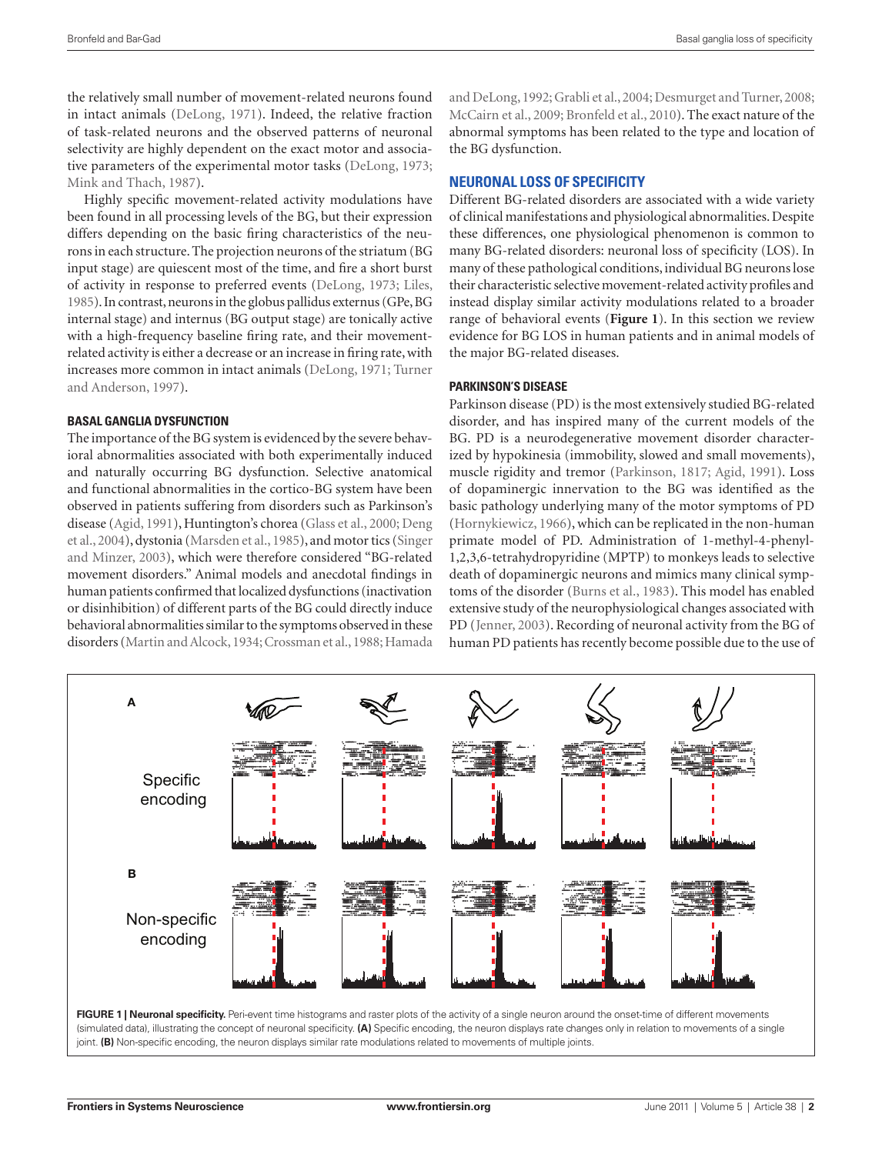the relatively small number of movement-related neurons found in intact animals (DeLong, 1971). Indeed, the relative fraction of task-related neurons and the observed patterns of neuronal selectivity are highly dependent on the exact motor and associative parameters of the experimental motor tasks (DeLong, 1973; Mink and Thach, 1987).

Highly specific movement-related activity modulations have been found in all processing levels of the BG, but their expression differs depending on the basic firing characteristics of the neurons in each structure. The projection neurons of the striatum (BG input stage) are quiescent most of the time, and fire a short burst of activity in response to preferred events (DeLong, 1973; Liles, 1985). In contrast, neurons in the globus pallidus externus (GPe, BG internal stage) and internus (BG output stage) are tonically active with a high-frequency baseline firing rate, and their movementrelated activity is either a decrease or an increase in firing rate, with increases more common in intact animals (DeLong, 1971; Turner and Anderson, 1997).

## **Basal ganglia dysfunction**

The importance of the BG system is evidenced by the severe behavioral abnormalities associated with both experimentally induced and naturally occurring BG dysfunction. Selective anatomical and functional abnormalities in the cortico-BG system have been observed in patients suffering from disorders such as Parkinson's disease (Agid, 1991), Huntington's chorea (Glass et al., 2000; Deng et al., 2004), dystonia (Marsden et al., 1985), and motor tics (Singer and Minzer, 2003), which were therefore considered "BG-related movement disorders." Animal models and anecdotal findings in human patients confirmed that localized dysfunctions (inactivation or disinhibition) of different parts of the BG could directly induce behavioral abnormalities similar to the symptoms observed in these disorders (Martin and Alcock, 1934; Crossman et al., 1988; Hamada

and DeLong, 1992; Grabli et al., 2004; Desmurget and Turner, 2008; McCairn et al., 2009; Bronfeld et al., 2010). The exact nature of the abnormal symptoms has been related to the type and location of the BG dysfunction.

## **Neuronal loss of specificity**

Different BG-related disorders are associated with a wide variety of clinical manifestations and physiological abnormalities. Despite these differences, one physiological phenomenon is common to many BG-related disorders: neuronal loss of specificity (LOS). In many of these pathological conditions, individual BG neurons lose their characteristic selective movement-related activity profiles and instead display similar activity modulations related to a broader range of behavioral events (**Figure 1**). In this section we review evidence for BG LOS in human patients and in animal models of the major BG-related diseases.

#### **Parkinson's disease**

Parkinson disease (PD) is the most extensively studied BG-related disorder, and has inspired many of the current models of the BG. PD is a neurodegenerative movement disorder characterized by hypokinesia (immobility, slowed and small movements), muscle rigidity and tremor (Parkinson, 1817; Agid, 1991). Loss of dopaminergic innervation to the BG was identified as the basic pathology underlying many of the motor symptoms of PD (Hornykiewicz, 1966), which can be replicated in the non-human primate model of PD. Administration of 1-methyl-4-phenyl-1,2,3,6-tetrahydropyridine (MPTP) to monkeys leads to selective death of dopaminergic neurons and mimics many clinical symptoms of the disorder (Burns et al., 1983). This model has enabled extensive study of the neurophysiological changes associated with PD (Jenner, 2003). Recording of neuronal activity from the BG of human PD patients has recently become possible due to the use of



FIGURE 1 | Neuronal specificity. Peri-event time histograms and raster plots of the activity of a single neuron around the onset-time of different movements (simulated data), illustrating the concept of neuronal specificity. **(A)** Specific encoding, the neuron displays rate changes only in relation to movements of a single joint. **(B)** Non-specific encoding, the neuron displays similar rate modulations related to movements of multiple joints.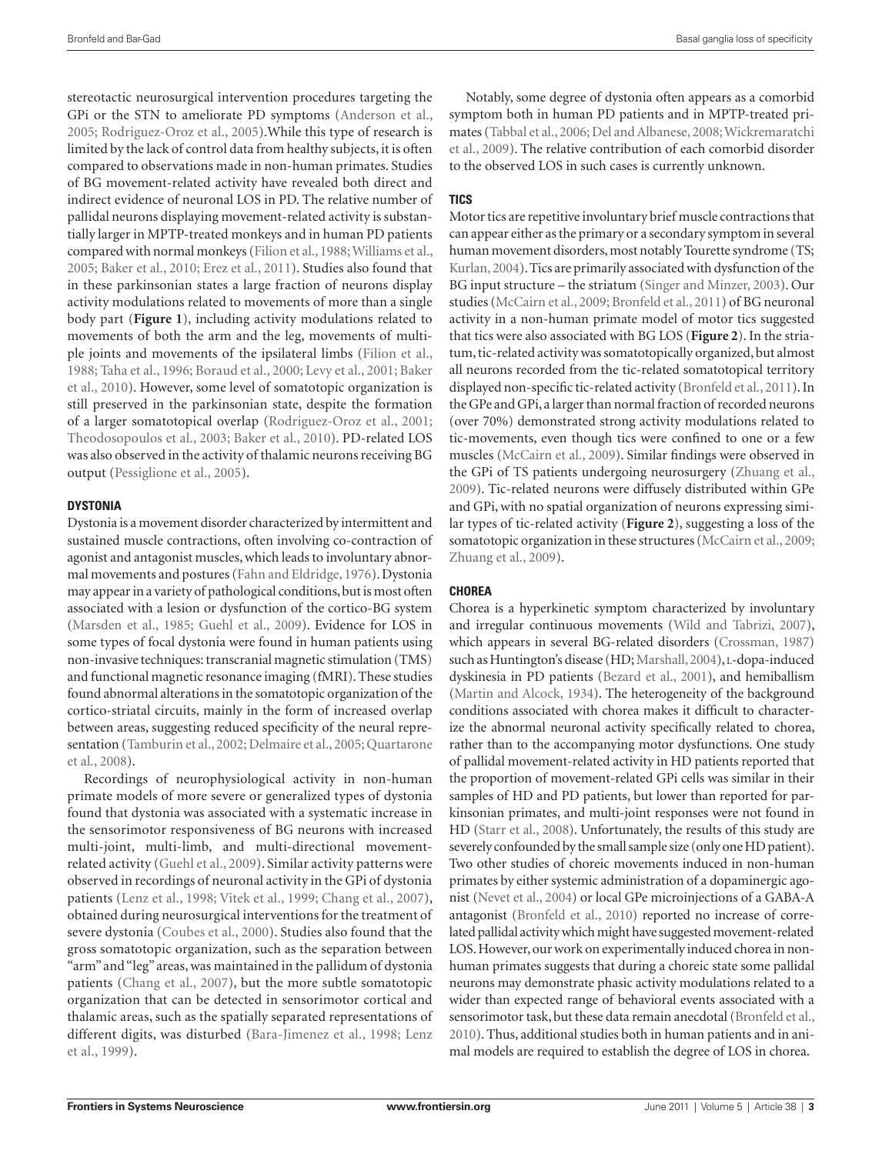stereotactic neurosurgical intervention procedures targeting the GPi or the STN to ameliorate PD symptoms (Anderson et al., 2005; Rodriguez-Oroz et al., 2005).While this type of research is limited by the lack of control data from healthy subjects, it is often compared to observations made in non-human primates. Studies of BG movement-related activity have revealed both direct and indirect evidence of neuronal LOS in PD. The relative number of pallidal neurons displaying movement-related activity is substantially larger in MPTP-treated monkeys and in human PD patients compared with normal monkeys (Filion et al., 1988; Williams et al., 2005; Baker et al., 2010; Erez et al., 2011). Studies also found that in these parkinsonian states a large fraction of neurons display activity modulations related to movements of more than a single body part (**Figure 1**), including activity modulations related to movements of both the arm and the leg, movements of multiple joints and movements of the ipsilateral limbs (Filion et al., 1988; Taha et al., 1996; Boraud et al., 2000; Levy et al., 2001; Baker et al., 2010). However, some level of somatotopic organization is still preserved in the parkinsonian state, despite the formation of a larger somatotopical overlap (Rodriguez-Oroz et al., 2001; Theodosopoulos et al., 2003; Baker et al., 2010). PD-related LOS was also observed in the activity of thalamic neurons receiving BG output (Pessiglione et al., 2005).

## **Dystonia**

Dystonia is a movement disorder characterized by intermittent and sustained muscle contractions, often involving co-contraction of agonist and antagonist muscles, which leads to involuntary abnormal movements and postures (Fahn and Eldridge, 1976). Dystonia may appear in a variety of pathological conditions, but is most often associated with a lesion or dysfunction of the cortico-BG system (Marsden et al., 1985; Guehl et al., 2009). Evidence for LOS in some types of focal dystonia were found in human patients using non-invasive techniques: transcranial magnetic stimulation (TMS) and functional magnetic resonance imaging (fMRI). These studies found abnormal alterations in the somatotopic organization of the cortico-striatal circuits, mainly in the form of increased overlap between areas, suggesting reduced specificity of the neural representation (Tamburin et al., 2002; Delmaire et al., 2005; Quartarone et al., 2008).

Recordings of neurophysiological activity in non-human primate models of more severe or generalized types of dystonia found that dystonia was associated with a systematic increase in the sensorimotor responsiveness of BG neurons with increased multi-joint, multi-limb, and multi-directional movementrelated activity (Guehl et al., 2009). Similar activity patterns were observed in recordings of neuronal activity in the GPi of dystonia patients (Lenz et al., 1998; Vitek et al., 1999; Chang et al., 2007), obtained during neurosurgical interventions for the treatment of severe dystonia (Coubes et al., 2000). Studies also found that the gross somatotopic organization, such as the separation between "arm" and "leg" areas, was maintained in the pallidum of dystonia patients (Chang et al., 2007), but the more subtle somatotopic organization that can be detected in sensorimotor cortical and thalamic areas, such as the spatially separated representations of different digits, was disturbed (Bara-Jimenez et al., 1998; Lenz et al., 1999).

Notably, some degree of dystonia often appears as a comorbid symptom both in human PD patients and in MPTP-treated primates (Tabbal et al., 2006; Del and Albanese, 2008; Wickremaratchi et al., 2009). The relative contribution of each comorbid disorder to the observed LOS in such cases is currently unknown.

## **Tics**

Motor tics are repetitive involuntary brief muscle contractions that can appear either as the primary or a secondary symptom in several human movement disorders, most notably Tourette syndrome (TS; Kurlan, 2004). Tics are primarily associated with dysfunction of the BG input structure – the striatum (Singer and Minzer, 2003). Our studies (McCairn et al., 2009; Bronfeld et al., 2011) of BG neuronal activity in a non-human primate model of motor tics suggested that tics were also associated with BG LOS (**Figure 2**). In the striatum, tic-related activity was somatotopically organized, but almost all neurons recorded from the tic-related somatotopical territory displayed non-specific tic-related activity (Bronfeld et al., 2011). In the GPe and GPi, a larger than normal fraction of recorded neurons (over 70%) demonstrated strong activity modulations related to tic-movements, even though tics were confined to one or a few muscles (McCairn et al., 2009). Similar findings were observed in the GPi of TS patients undergoing neurosurgery (Zhuang et al., 2009). Tic-related neurons were diffusely distributed within GPe and GPi, with no spatial organization of neurons expressing similar types of tic-related activity (**Figure 2**), suggesting a loss of the somatotopic organization in these structures (McCairn et al., 2009; Zhuang et al., 2009).

## **Chorea**

Chorea is a hyperkinetic symptom characterized by involuntary and irregular continuous movements (Wild and Tabrizi, 2007), which appears in several BG-related disorders (Crossman, 1987) such as Huntington's disease (HD; Marshall, 2004), L-dopa-induced dyskinesia in PD patients (Bezard et al., 2001), and hemiballism (Martin and Alcock, 1934). The heterogeneity of the background conditions associated with chorea makes it difficult to characterize the abnormal neuronal activity specifically related to chorea, rather than to the accompanying motor dysfunctions. One study of pallidal movement-related activity in HD patients reported that the proportion of movement-related GPi cells was similar in their samples of HD and PD patients, but lower than reported for parkinsonian primates, and multi-joint responses were not found in HD (Starr et al., 2008). Unfortunately, the results of this study are severely confounded by the small sample size (only one HD patient). Two other studies of choreic movements induced in non-human primates by either systemic administration of a dopaminergic agonist (Nevet et al., 2004) or local GPe microinjections of a GABA-A antagonist (Bronfeld et al., 2010) reported no increase of correlated pallidal activity which might have suggested movement-related LOS. However, our work on experimentally induced chorea in nonhuman primates suggests that during a choreic state some pallidal neurons may demonstrate phasic activity modulations related to a wider than expected range of behavioral events associated with a sensorimotor task, but these data remain anecdotal (Bronfeld et al., 2010). Thus, additional studies both in human patients and in animal models are required to establish the degree of LOS in chorea.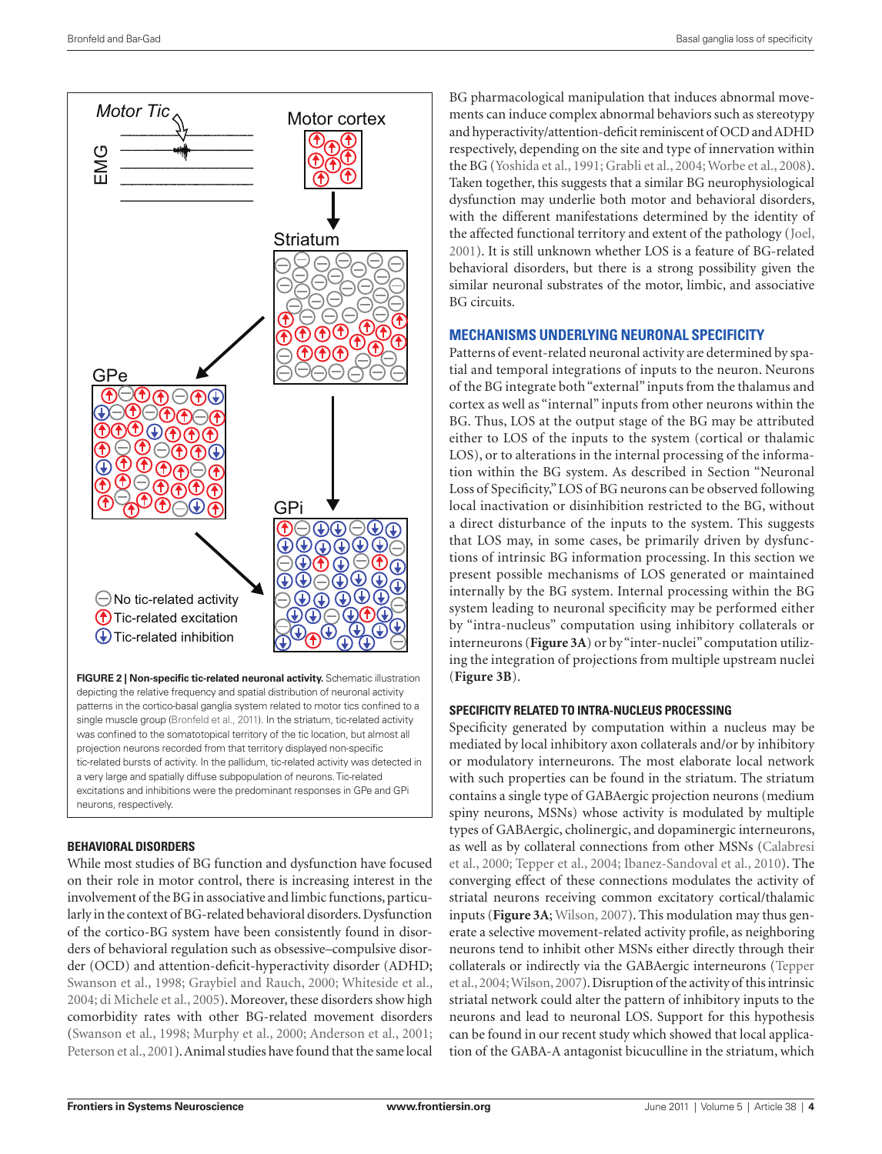

**FIGURE 2 | Non-specific tic-related neuronal activity.** Schematic illustration depicting the relative frequency and spatial distribution of neuronal activity patterns in the cortico-basal ganglia system related to motor tics confined to a single muscle group (Bronfeld et al., 2011). In the striatum, tic-related activity was confined to the somatotopical territory of the tic location, but almost all projection neurons recorded from that territory displayed non-specific tic-related bursts of activity. In the pallidum, tic-related activity was detected in a very large and spatially diffuse subpopulation of neurons. Tic-related excitations and inhibitions were the predominant responses in GPe and GPi neurons, respectively.

#### **Behavioral disorders**

While most studies of BG function and dysfunction have focused on their role in motor control, there is increasing interest in the involvement of the BG in associative and limbic functions, particularly in the context of BG-related behavioral disorders. Dysfunction of the cortico-BG system have been consistently found in disorders of behavioral regulation such as obsessive–compulsive disorder (OCD) and attention-deficit-hyperactivity disorder (ADHD; Swanson et al., 1998; Graybiel and Rauch, 2000; Whiteside et al., 2004; di Michele et al., 2005). Moreover, these disorders show high comorbidity rates with other BG-related movement disorders (Swanson et al., 1998; Murphy et al., 2000; Anderson et al., 2001; Peterson et al., 2001). Animal studies have found that the same local

BG pharmacological manipulation that induces abnormal movements can induce complex abnormal behaviors such as stereotypy and hyperactivity/attention-deficit reminiscent of OCD and ADHD respectively, depending on the site and type of innervation within the BG (Yoshida et al., 1991; Grabli et al., 2004; Worbe et al., 2008). Taken together, this suggests that a similar BG neurophysiological dysfunction may underlie both motor and behavioral disorders, with the different manifestations determined by the identity of the affected functional territory and extent of the pathology (Joel, 2001). It is still unknown whether LOS is a feature of BG-related behavioral disorders, but there is a strong possibility given the similar neuronal substrates of the motor, limbic, and associative BG circuits.

#### **Mechanisms underlying neuronal specificity**

Patterns of event-related neuronal activity are determined by spatial and temporal integrations of inputs to the neuron. Neurons of the BG integrate both "external" inputs from the thalamus and cortex as well as "internal" inputs from other neurons within the BG. Thus, LOS at the output stage of the BG may be attributed either to LOS of the inputs to the system (cortical or thalamic LOS), or to alterations in the internal processing of the information within the BG system. As described in Section "Neuronal Loss of Specificity," LOS of BG neurons can be observed following local inactivation or disinhibition restricted to the BG, without a direct disturbance of the inputs to the system. This suggests that LOS may, in some cases, be primarily driven by dysfunctions of intrinsic BG information processing. In this section we present possible mechanisms of LOS generated or maintained internally by the BG system. Internal processing within the BG system leading to neuronal specificity may be performed either by "intra-nucleus" computation using inhibitory collaterals or interneurons (**Figure 3A**) or by "inter-nuclei" computation utilizing the integration of projections from multiple upstream nuclei (**Figure 3B**).

#### **Specificity related to intra-nucleus processing**

Specificity generated by computation within a nucleus may be mediated by local inhibitory axon collaterals and/or by inhibitory or modulatory interneurons. The most elaborate local network with such properties can be found in the striatum. The striatum contains a single type of GABAergic projection neurons (medium spiny neurons, MSNs) whose activity is modulated by multiple types of GABAergic, cholinergic, and dopaminergic interneurons, as well as by collateral connections from other MSNs (Calabresi et al., 2000; Tepper et al., 2004; Ibanez-Sandoval et al., 2010). The converging effect of these connections modulates the activity of striatal neurons receiving common excitatory cortical/thalamic inputs (**Figure 3A**; Wilson, 2007). This modulation may thus generate a selective movement-related activity profile, as neighboring neurons tend to inhibit other MSNs either directly through their collaterals or indirectly via the GABAergic interneurons (Tepper et al., 2004; Wilson, 2007). Disruption of the activity of this intrinsic striatal network could alter the pattern of inhibitory inputs to the neurons and lead to neuronal LOS. Support for this hypothesis can be found in our recent study which showed that local application of the GABA-A antagonist bicuculline in the striatum, which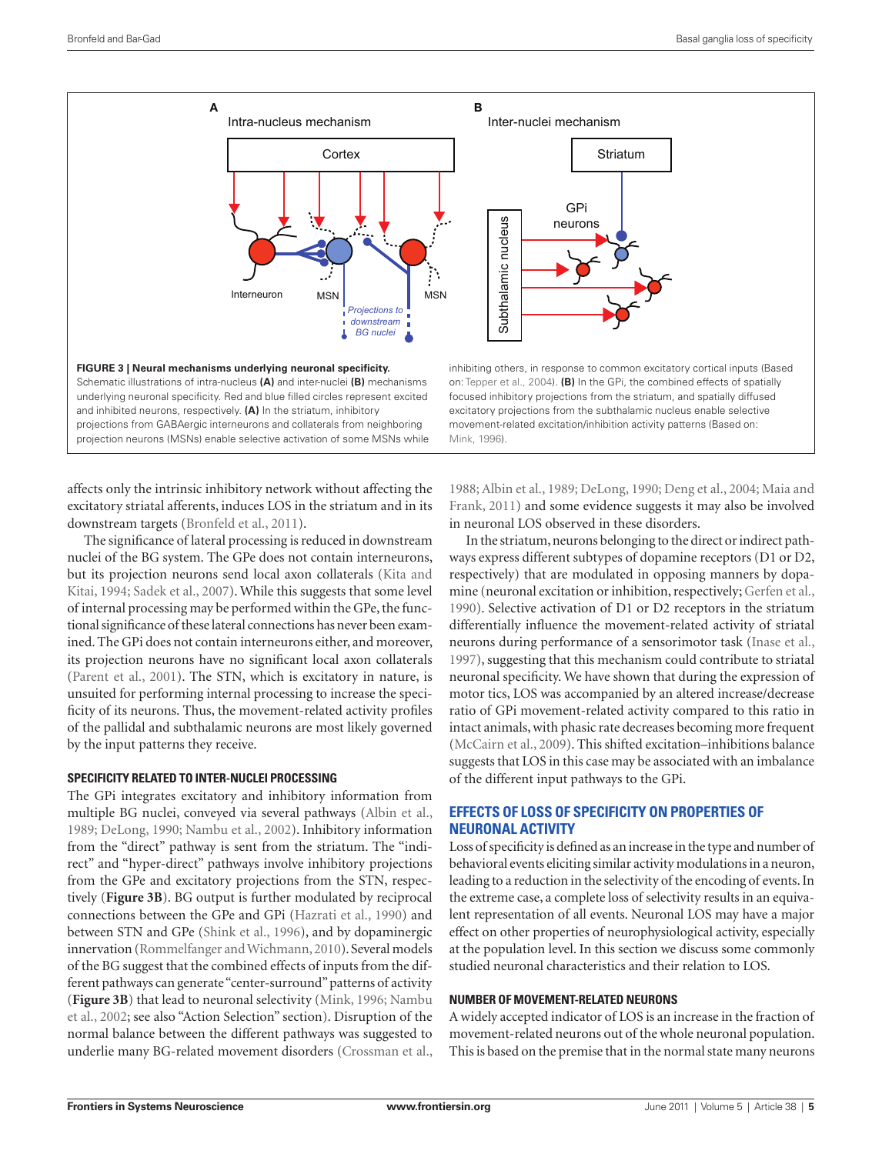

affects only the intrinsic inhibitory network without affecting the excitatory striatal afferents, induces LOS in the striatum and in its downstream targets (Bronfeld et al., 2011).

The significance of lateral processing is reduced in downstream nuclei of the BG system. The GPe does not contain interneurons, but its projection neurons send local axon collaterals (Kita and Kitai, 1994; Sadek et al., 2007). While this suggests that some level of internal processing may be performed within the GPe, the functional significance of these lateral connections has never been examined. The GPi does not contain interneurons either, and moreover, its projection neurons have no significant local axon collaterals (Parent et al., 2001). The STN, which is excitatory in nature, is unsuited for performing internal processing to increase the specificity of its neurons. Thus, the movement-related activity profiles of the pallidal and subthalamic neurons are most likely governed by the input patterns they receive.

#### **Specificity related to inter-nuclei processing**

The GPi integrates excitatory and inhibitory information from multiple BG nuclei, conveyed via several pathways (Albin et al., 1989; DeLong, 1990; Nambu et al., 2002). Inhibitory information from the "direct" pathway is sent from the striatum. The "indirect" and "hyper-direct" pathways involve inhibitory projections from the GPe and excitatory projections from the STN, respectively (**Figure 3B**). BG output is further modulated by reciprocal connections between the GPe and GPi (Hazrati et al., 1990) and between STN and GPe (Shink et al., 1996), and by dopaminergic innervation (Rommelfanger and Wichmann, 2010). Several models of the BG suggest that the combined effects of inputs from the different pathways can generate "center-surround" patterns of activity (**Figure 3B**) that lead to neuronal selectivity (Mink, 1996; Nambu et al., 2002; see also "Action Selection" section). Disruption of the normal balance between the different pathways was suggested to underlie many BG-related movement disorders (Crossman et al.,

1988; Albin et al., 1989; DeLong, 1990; Deng et al., 2004; Maia and Frank, 2011) and some evidence suggests it may also be involved in neuronal LOS observed in these disorders.

In the striatum, neurons belonging to the direct or indirect pathways express different subtypes of dopamine receptors (D1 or D2, respectively) that are modulated in opposing manners by dopamine (neuronal excitation or inhibition, respectively; Gerfen et al., 1990). Selective activation of D1 or D2 receptors in the striatum differentially influence the movement-related activity of striatal neurons during performance of a sensorimotor task (Inase et al., 1997), suggesting that this mechanism could contribute to striatal neuronal specificity. We have shown that during the expression of motor tics, LOS was accompanied by an altered increase/decrease ratio of GPi movement-related activity compared to this ratio in intact animals, with phasic rate decreases becoming more frequent (McCairn et al., 2009). This shifted excitation–inhibitions balance suggests that LOS in this case may be associated with an imbalance of the different input pathways to the GPi.

## **Effects of loss of specificity on properties of neuronal activity**

Loss of specificity is defined as an increase in the type and number of behavioral events eliciting similar activity modulations in a neuron, leading to a reduction in the selectivity of the encoding of events. In the extreme case, a complete loss of selectivity results in an equivalent representation of all events. Neuronal LOS may have a major effect on other properties of neurophysiological activity, especially at the population level. In this section we discuss some commonly studied neuronal characteristics and their relation to LOS.

#### **Number of movement-related neurons**

A widely accepted indicator of LOS is an increase in the fraction of movement-related neurons out of the whole neuronal population. This is based on the premise that in the normal state many neurons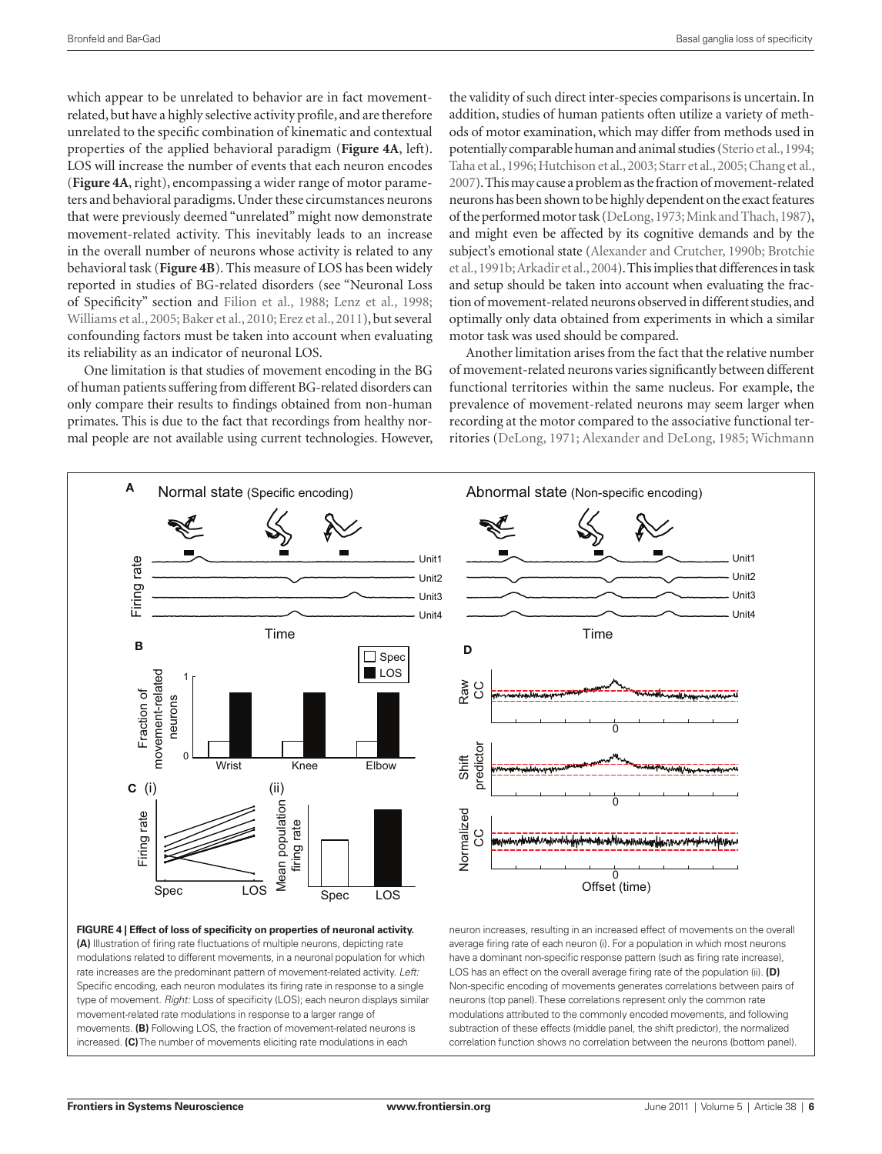which appear to be unrelated to behavior are in fact movementrelated, but have a highly selective activity profile, and are therefore unrelated to the specific combination of kinematic and contextual properties of the applied behavioral paradigm (**Figure 4A**, left). LOS will increase the number of events that each neuron encodes (**Figure 4A**, right), encompassing a wider range of motor parameters and behavioral paradigms. Under these circumstances neurons that were previously deemed "unrelated" might now demonstrate movement-related activity. This inevitably leads to an increase in the overall number of neurons whose activity is related to any behavioral task (**Figure 4B**). This measure of LOS has been widely reported in studies of BG-related disorders (see "Neuronal Loss of Specificity" section and Filion et al., 1988; Lenz et al., 1998; Williams et al., 2005; Baker et al., 2010; Erez et al., 2011), but several confounding factors must be taken into account when evaluating its reliability as an indicator of neuronal LOS.

One limitation is that studies of movement encoding in the BG of human patients suffering from different BG-related disorders can only compare their results to findings obtained from non-human primates. This is due to the fact that recordings from healthy normal people are not available using current technologies. However, the validity of such direct inter-species comparisons is uncertain. In addition, studies of human patients often utilize a variety of methods of motor examination, which may differ from methods used in potentially comparable human and animal studies (Sterio et al., 1994; Taha et al., 1996; Hutchison et al., 2003; Starr et al., 2005; Chang et al., 2007). This may cause a problem as the fraction of movement-related neurons has been shown to be highly dependent on the exact features of the performed motor task (DeLong, 1973; Mink and Thach, 1987), and might even be affected by its cognitive demands and by the subject's emotional state (Alexander and Crutcher, 1990b; Brotchie et al., 1991b; Arkadir et al., 2004). This implies that differences in task and setup should be taken into account when evaluating the fraction of movement-related neurons observed in different studies, and optimally only data obtained from experiments in which a similar motor task was used should be compared.

Another limitation arises from the fact that the relative number of movement-related neurons varies significantly between different functional territories within the same nucleus. For example, the prevalence of movement-related neurons may seem larger when recording at the motor compared to the associative functional territories (DeLong, 1971; Alexander and DeLong, 1985; Wichmann



**Figure 4 | Effect of loss of specificity on properties of neuronal activity. (A)** Illustration of firing rate fluctuations of multiple neurons, depicting rate modulations related to different movements, in a neuronal population for which rate increases are the predominant pattern of movement-related activity. *Left:* Specific encoding, each neuron modulates its firing rate in response to a single type of movement. *Right:* Loss of specificity (LOS); each neuron displays similar movement-related rate modulations in response to a larger range of movements. **(B)** Following LOS, the fraction of movement-related neurons is increased. **(C)** The number of movements eliciting rate modulations in each



neuron increases, resulting in an increased effect of movements on the overall average firing rate of each neuron (i). For a population in which most neurons have a dominant non-specific response pattern (such as firing rate increase), LOS has an effect on the overall average firing rate of the population (ii). **(D)** Non-specific encoding of movements generates correlations between pairs of neurons (top panel). These correlations represent only the common rate modulations attributed to the commonly encoded movements, and following subtraction of these effects (middle panel, the shift predictor), the normalized correlation function shows no correlation between the neurons (bottom panel).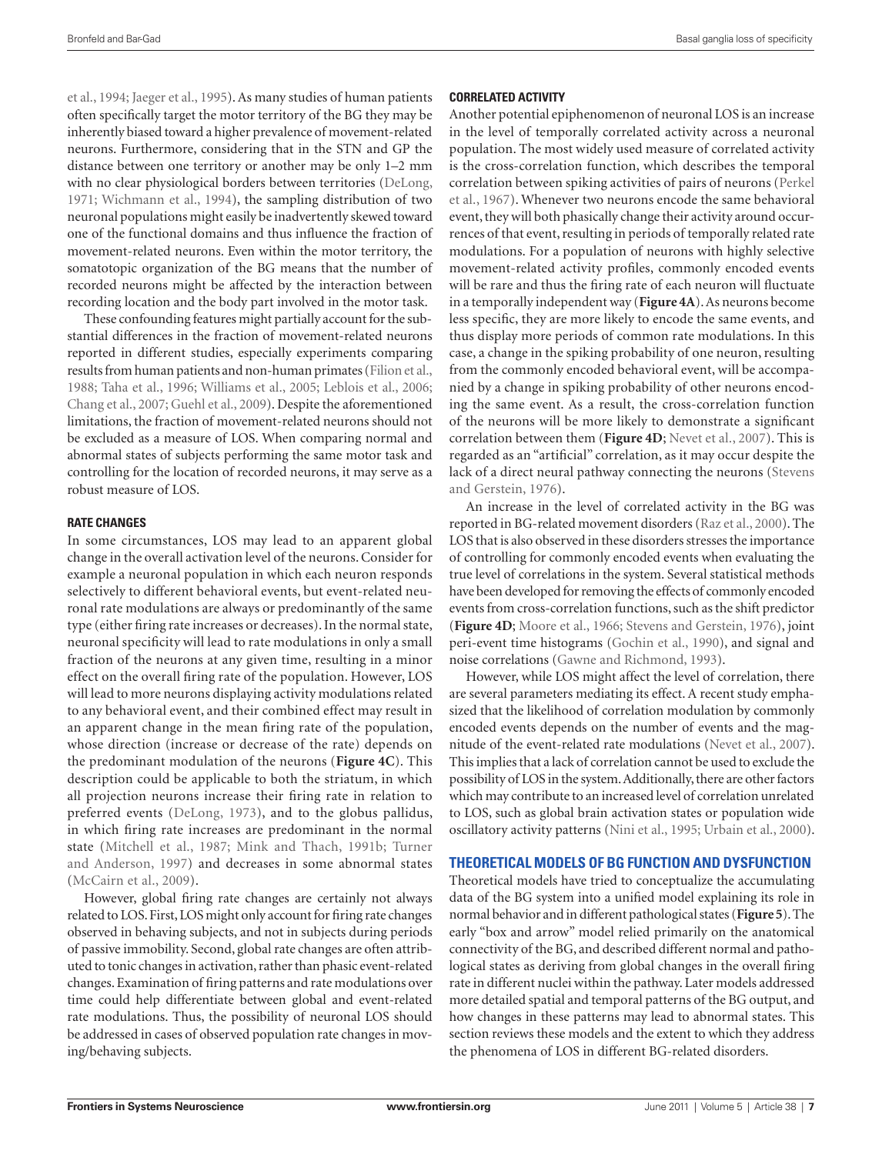et al., 1994; Jaeger et al., 1995). As many studies of human patients often specifically target the motor territory of the BG they may be inherently biased toward a higher prevalence of movement-related neurons. Furthermore, considering that in the STN and GP the distance between one territory or another may be only 1–2 mm with no clear physiological borders between territories (DeLong, 1971; Wichmann et al., 1994), the sampling distribution of two neuronal populations might easily be inadvertently skewed toward one of the functional domains and thus influence the fraction of movement-related neurons. Even within the motor territory, the somatotopic organization of the BG means that the number of recorded neurons might be affected by the interaction between recording location and the body part involved in the motor task.

These confounding features might partially account for the substantial differences in the fraction of movement-related neurons reported in different studies, especially experiments comparing results from human patients and non-human primates (Filion et al., 1988; Taha et al., 1996; Williams et al., 2005; Leblois et al., 2006; Chang et al., 2007; Guehl et al., 2009). Despite the aforementioned limitations, the fraction of movement-related neurons should not be excluded as a measure of LOS. When comparing normal and abnormal states of subjects performing the same motor task and controlling for the location of recorded neurons, it may serve as a robust measure of LOS.

#### **Rate changes**

In some circumstances, LOS may lead to an apparent global change in the overall activation level of the neurons. Consider for example a neuronal population in which each neuron responds selectively to different behavioral events, but event-related neuronal rate modulations are always or predominantly of the same type (either firing rate increases or decreases). In the normal state, neuronal specificity will lead to rate modulations in only a small fraction of the neurons at any given time, resulting in a minor effect on the overall firing rate of the population. However, LOS will lead to more neurons displaying activity modulations related to any behavioral event, and their combined effect may result in an apparent change in the mean firing rate of the population, whose direction (increase or decrease of the rate) depends on the predominant modulation of the neurons (**Figure 4C**). This description could be applicable to both the striatum, in which all projection neurons increase their firing rate in relation to preferred events (DeLong, 1973), and to the globus pallidus, in which firing rate increases are predominant in the normal state (Mitchell et al., 1987; Mink and Thach, 1991b; Turner and Anderson, 1997) and decreases in some abnormal states (McCairn et al., 2009).

However, global firing rate changes are certainly not always related to LOS. First, LOS might only account for firing rate changes observed in behaving subjects, and not in subjects during periods of passive immobility. Second, global rate changes are often attributed to tonic changes in activation, rather than phasic event-related changes. Examination of firing patterns and rate modulations over time could help differentiate between global and event-related rate modulations. Thus, the possibility of neuronal LOS should be addressed in cases of observed population rate changes in moving/behaving subjects.

#### **Correlated activity**

Another potential epiphenomenon of neuronal LOS is an increase in the level of temporally correlated activity across a neuronal population. The most widely used measure of correlated activity is the cross-correlation function, which describes the temporal correlation between spiking activities of pairs of neurons (Perkel et al., 1967). Whenever two neurons encode the same behavioral event, they will both phasically change their activity around occurrences of that event, resulting in periods of temporally related rate modulations. For a population of neurons with highly selective movement-related activity profiles, commonly encoded events will be rare and thus the firing rate of each neuron will fluctuate in a temporally independent way (**Figure 4A**). As neurons become less specific, they are more likely to encode the same events, and thus display more periods of common rate modulations. In this case, a change in the spiking probability of one neuron, resulting from the commonly encoded behavioral event, will be accompanied by a change in spiking probability of other neurons encoding the same event. As a result, the cross-correlation function of the neurons will be more likely to demonstrate a significant correlation between them (**Figure 4D**; Nevet et al., 2007). This is regarded as an "artificial" correlation, as it may occur despite the lack of a direct neural pathway connecting the neurons (Stevens and Gerstein, 1976).

An increase in the level of correlated activity in the BG was reported in BG-related movement disorders (Raz et al., 2000). The LOS that is also observed in these disorders stresses the importance of controlling for commonly encoded events when evaluating the true level of correlations in the system. Several statistical methods have been developed for removing the effects of commonly encoded events from cross-correlation functions, such as the shift predictor (**Figure 4D**; Moore et al., 1966; Stevens and Gerstein, 1976), joint peri-event time histograms (Gochin et al., 1990), and signal and noise correlations (Gawne and Richmond, 1993).

However, while LOS might affect the level of correlation, there are several parameters mediating its effect. A recent study emphasized that the likelihood of correlation modulation by commonly encoded events depends on the number of events and the magnitude of the event-related rate modulations (Nevet et al., 2007). This implies that a lack of correlation cannot be used to exclude the possibility of LOS in the system. Additionally, there are other factors which may contribute to an increased level of correlation unrelated to LOS, such as global brain activation states or population wide oscillatory activity patterns (Nini et al., 1995; Urbain et al., 2000).

#### **Theoretical models of BG function and dysfunction**

Theoretical models have tried to conceptualize the accumulating data of the BG system into a unified model explaining its role in normal behavior and in different pathological states (**Figure 5**). The early "box and arrow" model relied primarily on the anatomical connectivity of the BG, and described different normal and pathological states as deriving from global changes in the overall firing rate in different nuclei within the pathway. Later models addressed more detailed spatial and temporal patterns of the BG output, and how changes in these patterns may lead to abnormal states. This section reviews these models and the extent to which they address the phenomena of LOS in different BG-related disorders.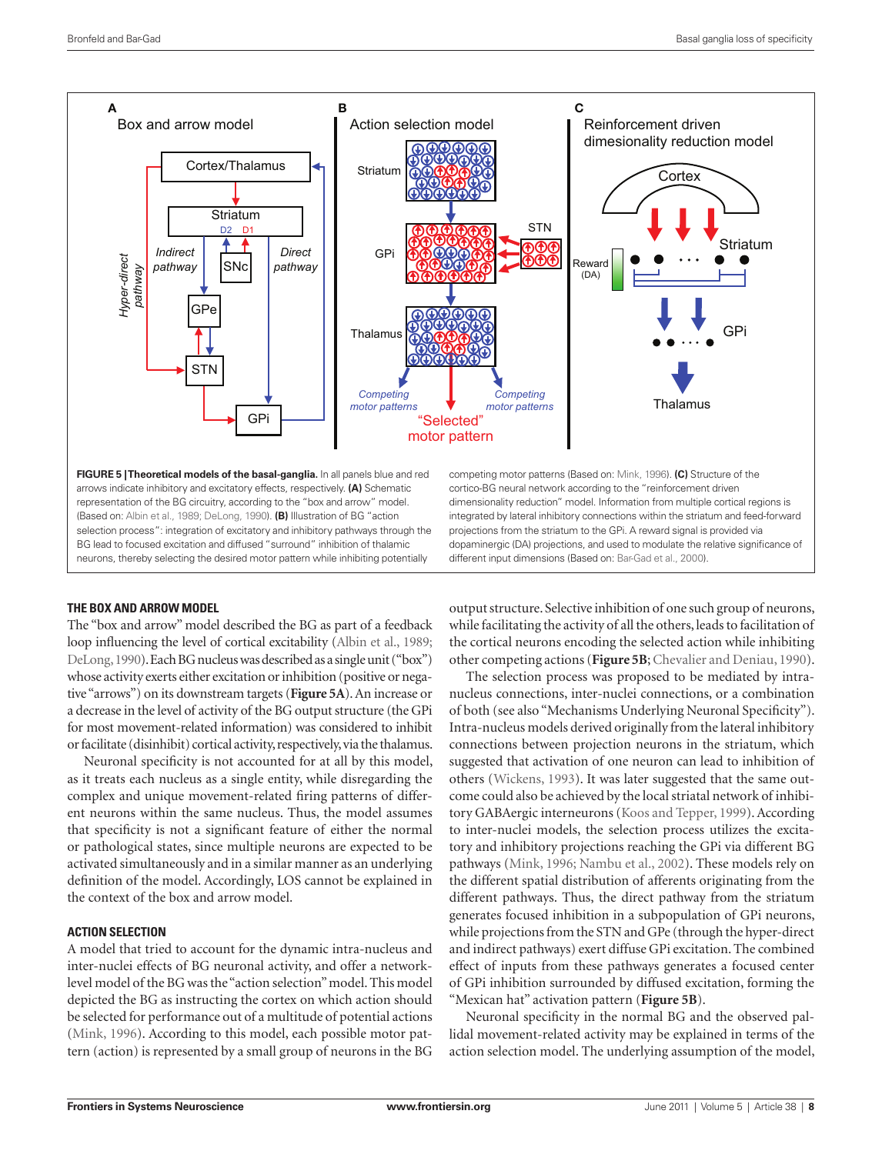

#### **The box and arrow model**

The "box and arrow" model described the BG as part of a feedback loop influencing the level of cortical excitability (Albin et al., 1989; DeLong, 1990). Each BG nucleus was described as a single unit ("box") whose activity exerts either excitation or inhibition (positive or negative "arrows") on its downstream targets (**Figure 5A**). An increase or a decrease in the level of activity of the BG output structure (the GPi for most movement-related information) was considered to inhibit or facilitate (disinhibit) cortical activity, respectively, via the thalamus.

Neuronal specificity is not accounted for at all by this model, as it treats each nucleus as a single entity, while disregarding the complex and unique movement-related firing patterns of different neurons within the same nucleus. Thus, the model assumes that specificity is not a significant feature of either the normal or pathological states, since multiple neurons are expected to be activated simultaneously and in a similar manner as an underlying definition of the model. Accordingly, LOS cannot be explained in the context of the box and arrow model.

#### **Action selection**

A model that tried to account for the dynamic intra-nucleus and inter-nuclei effects of BG neuronal activity, and offer a networklevel model of the BG was the "action selection" model. This model depicted the BG as instructing the cortex on which action should be selected for performance out of a multitude of potential actions (Mink, 1996). According to this model, each possible motor pat-

output structure. Selective inhibition of one such group of neurons, while facilitating the activity of all the others, leads to facilitation of the cortical neurons encoding the selected action while inhibiting other competing actions (**Figure 5B**; Chevalier and Deniau, 1990).

The selection process was proposed to be mediated by intranucleus connections, inter-nuclei connections, or a combination of both (see also "Mechanisms Underlying Neuronal Specificity"). Intra-nucleus models derived originally from the lateral inhibitory connections between projection neurons in the striatum, which suggested that activation of one neuron can lead to inhibition of others (Wickens, 1993). It was later suggested that the same outcome could also be achieved by the local striatal network of inhibitory GABAergic interneurons (Koos and Tepper, 1999). According to inter-nuclei models, the selection process utilizes the excitatory and inhibitory projections reaching the GPi via different BG pathways (Mink, 1996; Nambu et al., 2002). These models rely on the different spatial distribution of afferents originating from the different pathways. Thus, the direct pathway from the striatum generates focused inhibition in a subpopulation of GPi neurons, while projections from the STN and GPe (through the hyper-direct and indirect pathways) exert diffuse GPi excitation. The combined effect of inputs from these pathways generates a focused center of GPi inhibition surrounded by diffused excitation, forming the "Mexican hat" activation pattern (**Figure 5B**).

Neuronal specificity in the normal BG and the observed pallidal movement-related activity may be explained in terms of the action selection model. The underlying assumption of the model,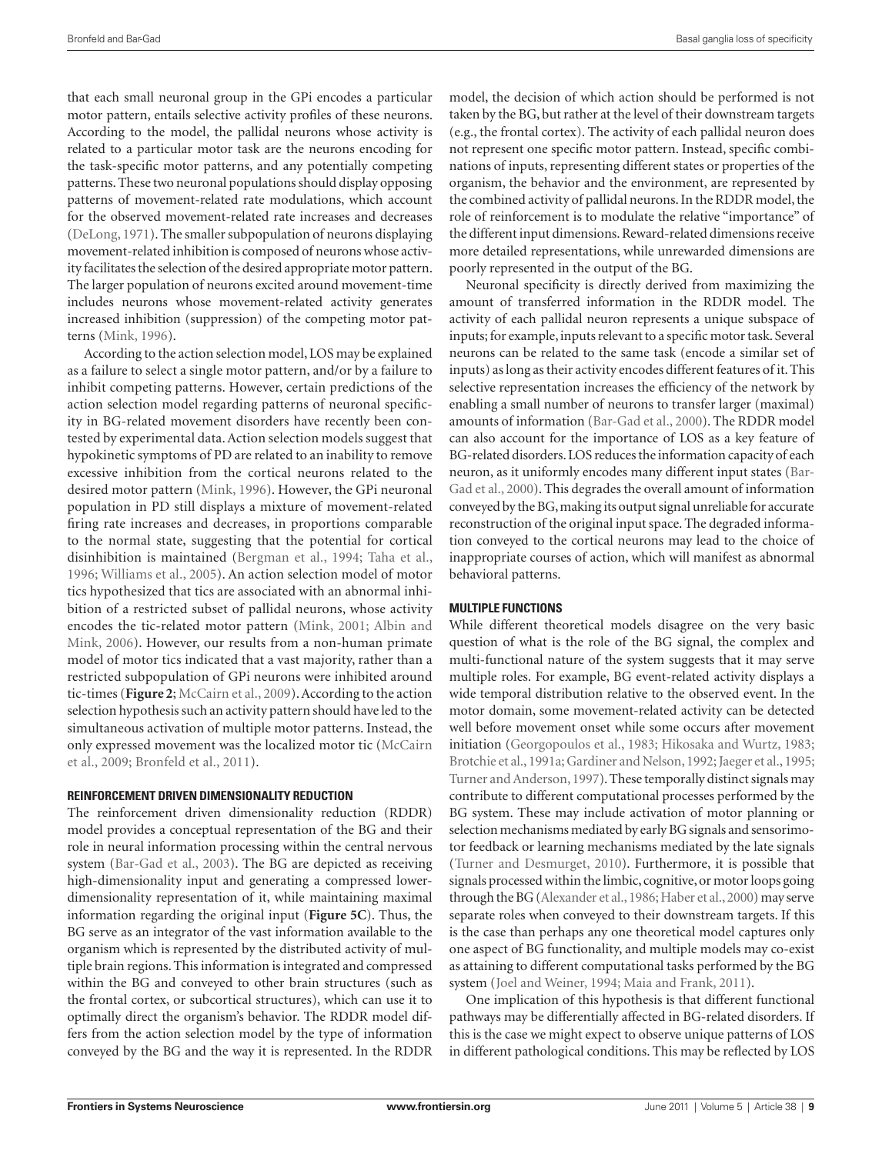that each small neuronal group in the GPi encodes a particular motor pattern, entails selective activity profiles of these neurons. According to the model, the pallidal neurons whose activity is related to a particular motor task are the neurons encoding for the task-specific motor patterns, and any potentially competing patterns. These two neuronal populations should display opposing patterns of movement-related rate modulations, which account for the observed movement-related rate increases and decreases (DeLong, 1971). The smaller subpopulation of neurons displaying movement-related inhibition is composed of neurons whose activity facilitates the selection of the desired appropriate motor pattern. The larger population of neurons excited around movement-time includes neurons whose movement-related activity generates increased inhibition (suppression) of the competing motor patterns (Mink, 1996).

According to the action selection model, LOS may be explained as a failure to select a single motor pattern, and/or by a failure to inhibit competing patterns. However, certain predictions of the action selection model regarding patterns of neuronal specificity in BG-related movement disorders have recently been contested by experimental data. Action selection models suggest that hypokinetic symptoms of PD are related to an inability to remove excessive inhibition from the cortical neurons related to the desired motor pattern (Mink, 1996). However, the GPi neuronal population in PD still displays a mixture of movement-related firing rate increases and decreases, in proportions comparable to the normal state, suggesting that the potential for cortical disinhibition is maintained (Bergman et al., 1994; Taha et al., 1996; Williams et al., 2005). An action selection model of motor tics hypothesized that tics are associated with an abnormal inhibition of a restricted subset of pallidal neurons, whose activity encodes the tic-related motor pattern (Mink, 2001; Albin and Mink, 2006). However, our results from a non-human primate model of motor tics indicated that a vast majority, rather than a restricted subpopulation of GPi neurons were inhibited around tic-times (**Figure 2**; McCairn et al., 2009). According to the action selection hypothesis such an activity pattern should have led to the simultaneous activation of multiple motor patterns. Instead, the only expressed movement was the localized motor tic (McCairn et al., 2009; Bronfeld et al., 2011).

#### **Reinforcement driven dimensionality reduction**

The reinforcement driven dimensionality reduction (RDDR) model provides a conceptual representation of the BG and their role in neural information processing within the central nervous system (Bar-Gad et al., 2003). The BG are depicted as receiving high-dimensionality input and generating a compressed lowerdimensionality representation of it, while maintaining maximal information regarding the original input (**Figure 5C**). Thus, the BG serve as an integrator of the vast information available to the organism which is represented by the distributed activity of multiple brain regions. This information is integrated and compressed within the BG and conveyed to other brain structures (such as the frontal cortex, or subcortical structures), which can use it to optimally direct the organism's behavior. The RDDR model differs from the action selection model by the type of information conveyed by the BG and the way it is represented. In the RDDR

model, the decision of which action should be performed is not taken by the BG, but rather at the level of their downstream targets (e.g., the frontal cortex). The activity of each pallidal neuron does not represent one specific motor pattern. Instead, specific combinations of inputs, representing different states or properties of the organism, the behavior and the environment, are represented by the combined activity of pallidal neurons. In the RDDR model, the role of reinforcement is to modulate the relative "importance" of the different input dimensions. Reward-related dimensions receive more detailed representations, while unrewarded dimensions are poorly represented in the output of the BG.

Neuronal specificity is directly derived from maximizing the amount of transferred information in the RDDR model. The activity of each pallidal neuron represents a unique subspace of inputs; for example, inputs relevant to a specific motor task. Several neurons can be related to the same task (encode a similar set of inputs) as long as their activity encodes different features of it. This selective representation increases the efficiency of the network by enabling a small number of neurons to transfer larger (maximal) amounts of information (Bar-Gad et al., 2000). The RDDR model can also account for the importance of LOS as a key feature of BG-related disorders. LOS reduces the information capacity of each neuron, as it uniformly encodes many different input states (Bar-Gad et al., 2000). This degrades the overall amount of information conveyed by the BG, making its output signal unreliable for accurate reconstruction of the original input space. The degraded information conveyed to the cortical neurons may lead to the choice of inappropriate courses of action, which will manifest as abnormal behavioral patterns.

#### **Multiple functions**

While different theoretical models disagree on the very basic question of what is the role of the BG signal, the complex and multi-functional nature of the system suggests that it may serve multiple roles. For example, BG event-related activity displays a wide temporal distribution relative to the observed event. In the motor domain, some movement-related activity can be detected well before movement onset while some occurs after movement initiation (Georgopoulos et al., 1983; Hikosaka and Wurtz, 1983; Brotchie et al., 1991a; Gardiner and Nelson, 1992; Jaeger et al., 1995; Turner and Anderson, 1997). These temporally distinct signals may contribute to different computational processes performed by the BG system. These may include activation of motor planning or selection mechanisms mediated by early BG signals and sensorimotor feedback or learning mechanisms mediated by the late signals (Turner and Desmurget, 2010). Furthermore, it is possible that signals processed within the limbic, cognitive, or motor loops going through the BG (Alexander et al., 1986; Haber et al., 2000) may serve separate roles when conveyed to their downstream targets. If this is the case than perhaps any one theoretical model captures only one aspect of BG functionality, and multiple models may co-exist as attaining to different computational tasks performed by the BG system (Joel and Weiner, 1994; Maia and Frank, 2011).

One implication of this hypothesis is that different functional pathways may be differentially affected in BG-related disorders. If this is the case we might expect to observe unique patterns of LOS in different pathological conditions. This may be reflected by LOS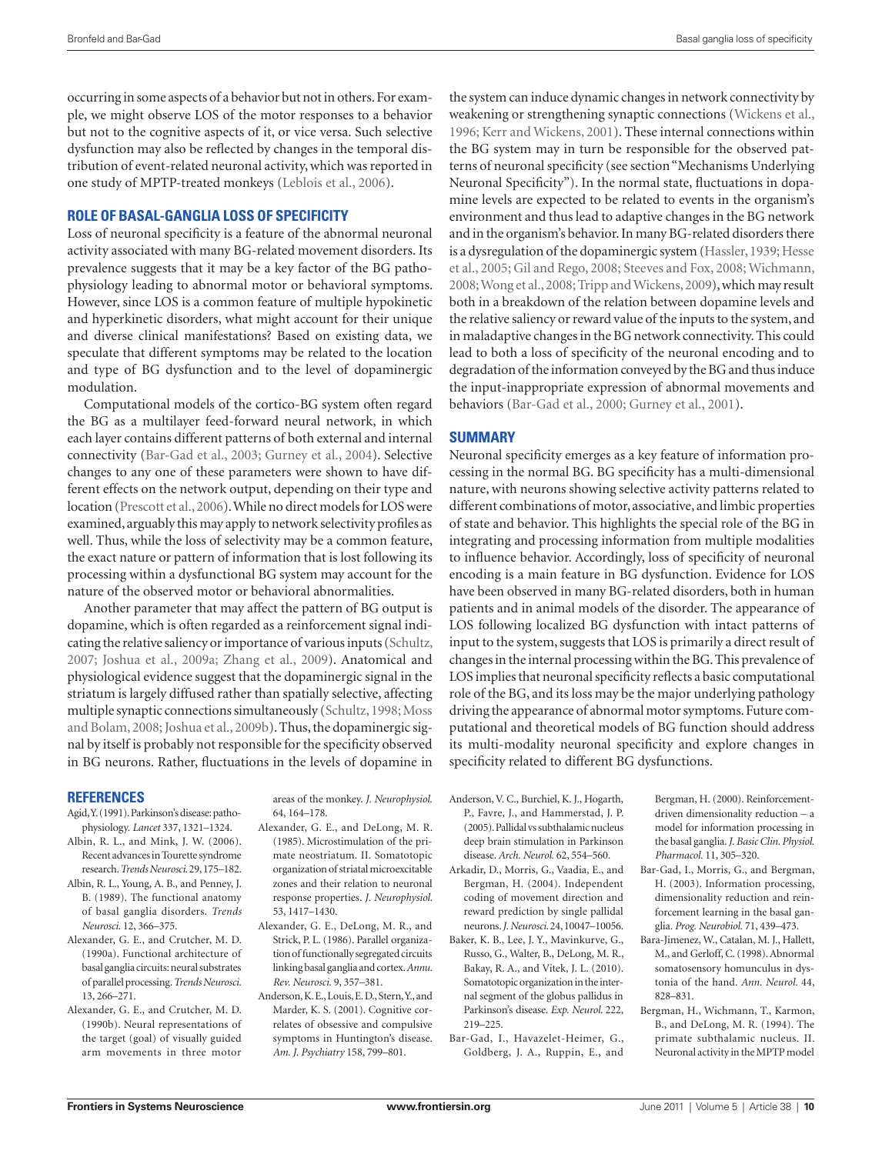occurring in some aspects of a behavior but not in others. For example, we might observe LOS of the motor responses to a behavior but not to the cognitive aspects of it, or vice versa. Such selective dysfunction may also be reflected by changes in the temporal distribution of event-related neuronal activity, which was reported in one study of MPTP-treated monkeys (Leblois et al., 2006).

## **Role of Basal-ganglia Loss of Specificity**

Loss of neuronal specificity is a feature of the abnormal neuronal activity associated with many BG-related movement disorders. Its prevalence suggests that it may be a key factor of the BG pathophysiology leading to abnormal motor or behavioral symptoms. However, since LOS is a common feature of multiple hypokinetic and hyperkinetic disorders, what might account for their unique and diverse clinical manifestations? Based on existing data, we speculate that different symptoms may be related to the location and type of BG dysfunction and to the level of dopaminergic modulation.

Computational models of the cortico-BG system often regard the BG as a multilayer feed-forward neural network, in which each layer contains different patterns of both external and internal connectivity (Bar-Gad et al., 2003; Gurney et al., 2004). Selective changes to any one of these parameters were shown to have different effects on the network output, depending on their type and location (Prescott et al., 2006). While no direct models for LOS were examined, arguably this may apply to network selectivity profiles as well. Thus, while the loss of selectivity may be a common feature, the exact nature or pattern of information that is lost following its processing within a dysfunctional BG system may account for the nature of the observed motor or behavioral abnormalities.

Another parameter that may affect the pattern of BG output is dopamine, which is often regarded as a reinforcement signal indicating the relative saliency or importance of various inputs (Schultz, 2007; Joshua et al., 2009a; Zhang et al., 2009). Anatomical and physiological evidence suggest that the dopaminergic signal in the striatum is largely diffused rather than spatially selective, affecting multiple synaptic connections simultaneously (Schultz, 1998; Moss and Bolam, 2008; Joshua et al., 2009b). Thus, the dopaminergic signal by itself is probably not responsible for the specificity observed in BG neurons. Rather, fluctuations in the levels of dopamine in

#### **References**

- Agid, Y. (1991). Parkinson's disease: pathophysiology. *Lancet* 337, 1321–1324.
- Albin, R. L., and Mink, J. W. (2006). Recent advances in Tourette syndrome research. *Trends Neurosci.* 29, 175–182.
- Albin, R. L., Young, A. B., and Penney, J. B. (1989). The functional anatomy of basal ganglia disorders. *Trends Neurosci.* 12, 366–375.
- Alexander, G. E., and Crutcher, M. D. (1990a). Functional architecture of basal ganglia circuits: neural substrates of parallel processing. *Trends Neurosci.*  13, 266–271.
- Alexander, G. E., and Crutcher, M. D. (1990b). Neural representations of the target (goal) of visually guided arm movements in three motor

areas of the monkey. *J. Neurophysiol.*  64, 164–178.

- Alexander, G. E., and DeLong, M. R. (1985). Microstimulation of the primate neostriatum. II. Somatotopic organization of striatal microexcitable zones and their relation to neuronal response properties. *J. Neurophysiol.*  53, 1417–1430.
- Alexander, G. E., DeLong, M. R., and Strick, P. L. (1986). Parallel organization of functionally segregated circuits linking basal ganglia and cortex. *Annu. Rev. Neurosci.* 9, 357–381.
- Anderson, K. E., Louis, E. D., Stern, Y., and Marder, K. S. (2001). Cognitive correlates of obsessive and compulsive symptoms in Huntington's disease. *Am. J. Psychiatry* 158, 799–801.

the system can induce dynamic changes in network connectivity by weakening or strengthening synaptic connections (Wickens et al., 1996; Kerr and Wickens, 2001). These internal connections within the BG system may in turn be responsible for the observed patterns of neuronal specificity (see section "Mechanisms Underlying Neuronal Specificity"). In the normal state, fluctuations in dopamine levels are expected to be related to events in the organism's environment and thus lead to adaptive changes in the BG network and in the organism's behavior. In many BG-related disorders there is a dysregulation of the dopaminergic system (Hassler, 1939; Hesse et al., 2005; Gil and Rego, 2008; Steeves and Fox, 2008; Wichmann, 2008; Wong et al., 2008; Tripp and Wickens, 2009), which may result both in a breakdown of the relation between dopamine levels and the relative saliency or reward value of the inputs to the system, and in maladaptive changes in the BG network connectivity. This could lead to both a loss of specificity of the neuronal encoding and to degradation of the information conveyed by the BG and thus induce the input-inappropriate expression of abnormal movements and behaviors (Bar-Gad et al., 2000; Gurney et al., 2001).

#### **Summary**

Neuronal specificity emerges as a key feature of information processing in the normal BG. BG specificity has a multi-dimensional nature, with neurons showing selective activity patterns related to different combinations of motor, associative, and limbic properties of state and behavior. This highlights the special role of the BG in integrating and processing information from multiple modalities to influence behavior. Accordingly, loss of specificity of neuronal encoding is a main feature in BG dysfunction. Evidence for LOS have been observed in many BG-related disorders, both in human patients and in animal models of the disorder. The appearance of LOS following localized BG dysfunction with intact patterns of input to the system, suggests that LOS is primarily a direct result of changes in the internal processing within the BG. This prevalence of LOS implies that neuronal specificity reflects a basic computational role of the BG, and its loss may be the major underlying pathology driving the appearance of abnormal motor symptoms. Future computational and theoretical models of BG function should address its multi-modality neuronal specificity and explore changes in specificity related to different BG dysfunctions.

- Anderson, V. C., Burchiel, K. J., Hogarth, P., Favre, J., and Hammerstad, J. P. (2005). Pallidal vs subthalamic nucleus deep brain stimulation in Parkinson disease. *Arch. Neurol.* 62, 554–560.
- Arkadir, D., Morris, G., Vaadia, E., and Bergman, H. (2004). Independent coding of movement direction and reward prediction by single pallidal neurons. *J. Neurosci.* 24, 10047–10056.
- Baker, K. B., Lee, J. Y., Mavinkurve, G., Russo, G., Walter, B., DeLong, M. R., Bakay, R. A., and Vitek, J. L. (2010). Somatotopic organization in the internal segment of the globus pallidus in Parkinson's disease. *Exp. Neurol*. 222, 219–225.
- Bar-Gad, I., Havazelet-Heimer, G., Goldberg, J. A., Ruppin, E., and

Bergman, H. (2000). Reinforcementdriven dimensionality reduction – a model for information processing in the basal ganglia. *J. Basic Clin. Physiol. Pharmacol.* 11, 305–320.

- Bar-Gad, I., Morris, G., and Bergman, H. (2003). Information processing, dimensionality reduction and reinforcement learning in the basal ganglia. *Prog. Neurobiol.* 71, 439–473.
- Bara-Jimenez, W., Catalan, M. J., Hallett, M., and Gerloff, C. (1998). Abnormal somatosensory homunculus in dystonia of the hand. *Ann. Neurol.* 44, 828–831.
- Bergman, H., Wichmann, T., Karmon, B., and DeLong, M. R. (1994). The primate subthalamic nucleus. II. Neuronal activity in the MPTP model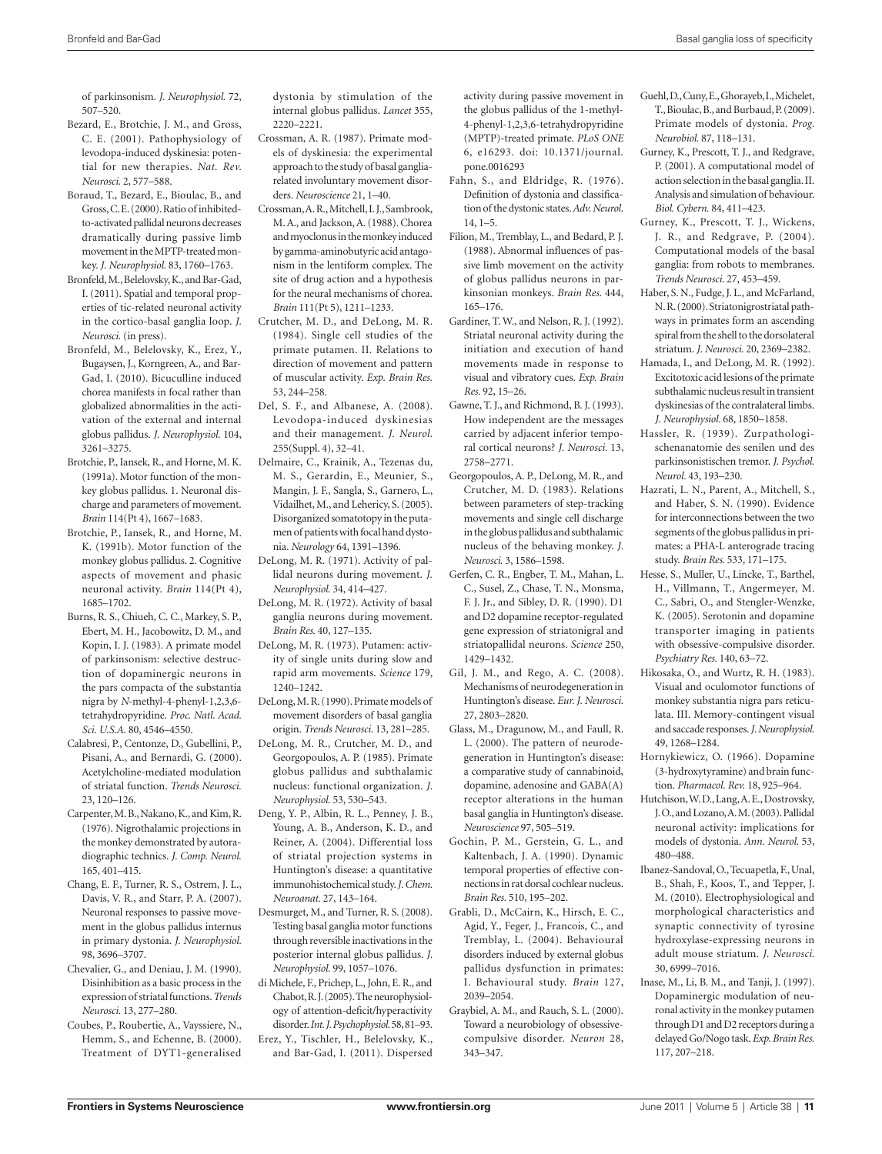of parkinsonism. *J. Neurophysiol.* 72, 507–520.

- Bezard, E., Brotchie, J. M., and Gross, C. E. (2001). Pathophysiology of levodopa-induced dyskinesia: potential for new therapies. *Nat. Rev. Neurosci.* 2, 577–588.
- Boraud, T., Bezard, E., Bioulac, B., and Gross, C. E. (2000). Ratio of inhibitedto-activated pallidal neurons decreases dramatically during passive limb movement in the MPTP-treated monkey. *J. Neurophysiol.* 83, 1760–1763.
- Bronfeld, M., Belelovsky, K., and Bar-Gad, I. (2011). Spatial and temporal properties of tic-related neuronal activity in the cortico-basal ganglia loop. *J. Neurosci.* (in press).
- Bronfeld, M., Belelovsky, K., Erez, Y., Bugaysen, J., Korngreen, A., and Bar-Gad, I. (2010). Bicuculline induced chorea manifests in focal rather than globalized abnormalities in the activation of the external and internal globus pallidus. *J. Neurophysiol.* 104, 3261–3275.
- Brotchie, P., Iansek, R., and Horne, M. K. (1991a). Motor function of the monkey globus pallidus. 1. Neuronal discharge and parameters of movement. *Brain* 114(Pt 4), 1667–1683.
- Brotchie, P., Jansek, R., and Horne, M. K. (1991b). Motor function of the monkey globus pallidus. 2. Cognitive aspects of movement and phasic neuronal activity. *Brain* 114(Pt 4), 1685–1702.
- Burns, R. S., Chiueh, C. C., Markey, S. P. Ebert, M. H., Jacobowitz, D. M., and Kopin, I. J. (1983). A primate model of parkinsonism: selective destruction of dopaminergic neurons in the pars compacta of the substantia nigra by *N*-methyl-4-phenyl-1,2,3,6 tetrahydropyridine. *Proc. Natl. Acad. Sci. U.S.A.* 80, 4546–4550.
- Calabresi, P., Centonze, D., Gubellini, P., Pisani, A., and Bernardi, G. (2000). Acetylcholine-mediated modulation of striatal function. *Trends Neurosci.*  23, 120–126.
- Carpenter, M. B., Nakano, K., and Kim, R. (1976). Nigrothalamic projections in the monkey demonstrated by autoradiographic technics. *J. Comp. Neurol.*  165, 401–415.
- Chang, E. F., Turner, R. S., Ostrem, J. L., Davis, V. R., and Starr, P. A. (2007). Neuronal responses to passive movement in the globus pallidus internus in primary dystonia. *J. Neurophysiol.*  98, 3696–3707.
- Chevalier, G., and Deniau, J. M. (1990). Disinhibition as a basic process in the expression of striatal functions. *Trends Neurosci.* 13, 277–280.
- Coubes, P., Roubertie, A., Vayssiere, N., Hemm, S., and Echenne, B. (2000). Treatment of DYT1-generalised

dystonia by stimulation of the internal globus pallidus. *Lancet* 355, 2220–2221.

- Crossman, A. R. (1987). Primate models of dyskinesia: the experimental approach to the study of basal gangliarelated involuntary movement disorders. *Neuroscience* 21, 1–40.
- Crossman, A. R., Mitchell, I. J., Sambrook, M. A., and Jackson, A. (1988). Chorea and myoclonus in the monkey induced by gamma-aminobutyric acid antagonism in the lentiform complex. The site of drug action and a hypothesis for the neural mechanisms of chorea. *Brain* 111(Pt 5), 1211–1233.
- Crutcher, M. D., and DeLong, M. R. (1984). Single cell studies of the primate putamen. II. Relations to direction of movement and pattern of muscular activity. *Exp. Brain Res.*  53, 244–258.
- Del, S. F., and Albanese, A. (2008). Levodopa-induced dyskinesias and their management. *J. Neurol.*  255(Suppl. 4), 32–41.
- Delmaire, C., Krainik, A., Tezenas du, M. S., Gerardin, E., Meunier, S., Mangin, J. F., Sangla, S., Garnero, L., Vidailhet, M., and Lehericy, S. (2005). Disorganized somatotopy in the putamen of patients with focal hand dystonia. *Neurology* 64, 1391–1396.
- DeLong, M. R. (1971). Activity of pallidal neurons during movement. *J. Neurophysiol.* 34, 414–427.
- DeLong, M. R. (1972). Activity of basal ganglia neurons during movement. *Brain Res.* 40, 127–135.
- DeLong, M. R. (1973). Putamen: activity of single units during slow and rapid arm movements. *Science* 179, 1240–1242.
- DeLong, M. R. (1990). Primate models of movement disorders of basal ganglia origin. *Trends Neurosci.* 13, 281–285.
- DeLong, M. R., Crutcher, M. D., and Georgopoulos, A. P. (1985). Primate globus pallidus and subthalamic nucleus: functional organization. *J. Neurophysiol.* 53, 530–543.
- Deng, Y. P., Albin, R. L., Penney, J. B., Young, A. B., Anderson, K. D., and Reiner, A. (2004). Differential loss of striatal projection systems in Huntington's disease: a quantitative immunohistochemical study. *J. Chem. Neuroanat.* 27, 143–164.
- Desmurget, M., and Turner, R. S. (2008). Testing basal ganglia motor functions through reversible inactivations in the posterior internal globus pallidus. *J. Neurophysiol.* 99, 1057–1076.
- di Michele, F., Prichep, L., John, E. R., and Chabot, R. J. (2005). The neurophysiology of attention-deficit/hyperactivity disorder. *Int. J. Psychophysiol.* 58, 81–93.
- Erez, Y., Tischler, H., Belelovsky, K., and Bar-Gad, I. (2011). Dispersed

activity during passive movement in the globus pallidus of the 1-methyl-4-phenyl-1,2,3,6-tetrahydropyridine (MPTP)-treated primate. *PLoS ONE*  6, e16293. doi: 10.1371/journal. pone.0016293

- Fahn, S., and Eldridge, R. (1976). Definition of dystonia and classification of the dystonic states. *Adv. Neurol.*  14, 1–5.
- Filion, M., Tremblay, L., and Bedard, P. J. (1988). Abnormal influences of passive limb movement on the activity of globus pallidus neurons in parkinsonian monkeys. *Brain Res.* 444, 165–176.
- Gardiner, T. W., and Nelson, R. J. (1992). Striatal neuronal activity during the initiation and execution of hand movements made in response to visual and vibratory cues. *Exp. Brain Res.* 92, 15–26.
- Gawne, T. J., and Richmond, B. J. (1993). How independent are the messages carried by adjacent inferior temporal cortical neurons? *J. Neurosci.* 13, 2758–2771.
- Georgopoulos, A. P., DeLong, M. R., and Crutcher, M. D. (1983). Relations between parameters of step-tracking movements and single cell discharge in the globus pallidus and subthalamic nucleus of the behaving monkey. *J. Neurosci.* 3, 1586–1598.
- Gerfen, C. R., Engber, T. M., Mahan, L. C., Susel, Z., Chase, T. N., Monsma, F. J. Jr., and Sibley, D. R. (1990). D1 and D2 dopamine receptor-regulated gene expression of striatonigral and striatopallidal neurons. *Science* 250, 1429–1432.
- Gil, J. M., and Rego, A. C. (2008). Mechanisms of neurodegeneration in Huntington's disease. *Eur. J. Neurosci.*  27, 2803–2820.
- Glass, M., Dragunow, M., and Faull, R. L. (2000). The pattern of neurodegeneration in Huntington's disease: a comparative study of cannabinoid, dopamine, adenosine and GABA(A) receptor alterations in the human basal ganglia in Huntington's disease. *Neuroscience* 97, 505–519.
- Gochin, P. M., Gerstein, G. L., and Kaltenbach, J. A. (1990). Dynamic temporal properties of effective connections in rat dorsal cochlear nucleus. *Brain Res.* 510, 195–202.
- Grabli, D., McCairn, K., Hirsch, E. C., Agid, Y., Feger, J., Francois, C., and Tremblay, L. (2004). Behavioural disorders induced by external globus pallidus dysfunction in primates: I. Behavioural study. *Brain* 127, 2039–2054.
- Graybiel, A. M., and Rauch, S. L. (2000). Toward a neurobiology of obsessivecompulsive disorder. *Neuron* 28, 343–347.
- Guehl, D., Cuny, E., Ghorayeb, I., Michelet, T., Bioulac, B., and Burbaud, P. (2009). Primate models of dystonia. *Prog. Neurobiol.* 87, 118–131.
- Gurney, K., Prescott, T. J., and Redgrave, P. (2001). A computational model of action selection in the basal ganglia. II. Analysis and simulation of behaviour. *Biol. Cybern.* 84, 411–423.
- Gurney, K., Prescott, T. J., Wickens, J. R., and Redgrave, P. (2004). Computational models of the basal ganglia: from robots to membranes. *Trends Neurosci.* 27, 453–459.
- Haber, S. N., Fudge, J. L., and McFarland, N. R. (2000). Striatonigrostriatal pathways in primates form an ascending spiral from the shell to the dorsolateral striatum. *J. Neurosci.* 20, 2369–2382.
- Hamada, I., and DeLong, M. R. (1992). Excitotoxic acid lesions of the primate subthalamic nucleus result in transient dyskinesias of the contralateral limbs. *J. Neurophysiol.* 68, 1850–1858.
- Hassler, R. (1939). Zurpathologischenanatomie des senilen und des parkinsonistischen tremor. *J. Psychol. Neurol.* 43, 193–230.
- Hazrati, L. N., Parent, A., Mitchell, S., and Haber, S. N. (1990). Evidence for interconnections between the two segments of the globus pallidus in primates: a PHA-L anterograde tracing study. *Brain Res.* 533, 171–175.
- Hesse, S., Muller, U., Lincke, T., Barthel, H., Villmann, T., Angermeyer, M. C., Sabri, O., and Stengler-Wenzke, K. (2005). Serotonin and dopamine transporter imaging in patients with obsessive-compulsive disorder. *Psychiatry Res.* 140, 63–72.
- Hikosaka, O., and Wurtz, R. H. (1983). Visual and oculomotor functions of monkey substantia nigra pars reticulata. III. Memory-contingent visual and saccade responses. *J. Neurophysiol.*  49, 1268–1284.
- Hornykiewicz, O. (1966). Dopamine (3-hydroxytyramine) and brain function. *Pharmacol. Rev.* 18, 925–964.
- Hutchison, W. D., Lang, A. E., Dostrovsky, J. O., and Lozano, A. M. (2003). Pallidal neuronal activity: implications for models of dystonia. *Ann. Neurol.* 53, 480–488.
- Ibanez-Sandoval, O., Tecuapetla, F., Unal, B., Shah, F., Koos, T., and Tepper, J. M. (2010). Electrophysiological and morphological characteristics and synaptic connectivity of tyrosine hydroxylase-expressing neurons in adult mouse striatum. *J. Neurosci.*  30, 6999–7016.
- Inase, M., Li, B. M., and Tanji, J. (1997). Dopaminergic modulation of neuronal activity in the monkey putamen through D1 and D2 receptors during a delayed Go/Nogo task. *Exp. Brain Res.*  117, 207–218.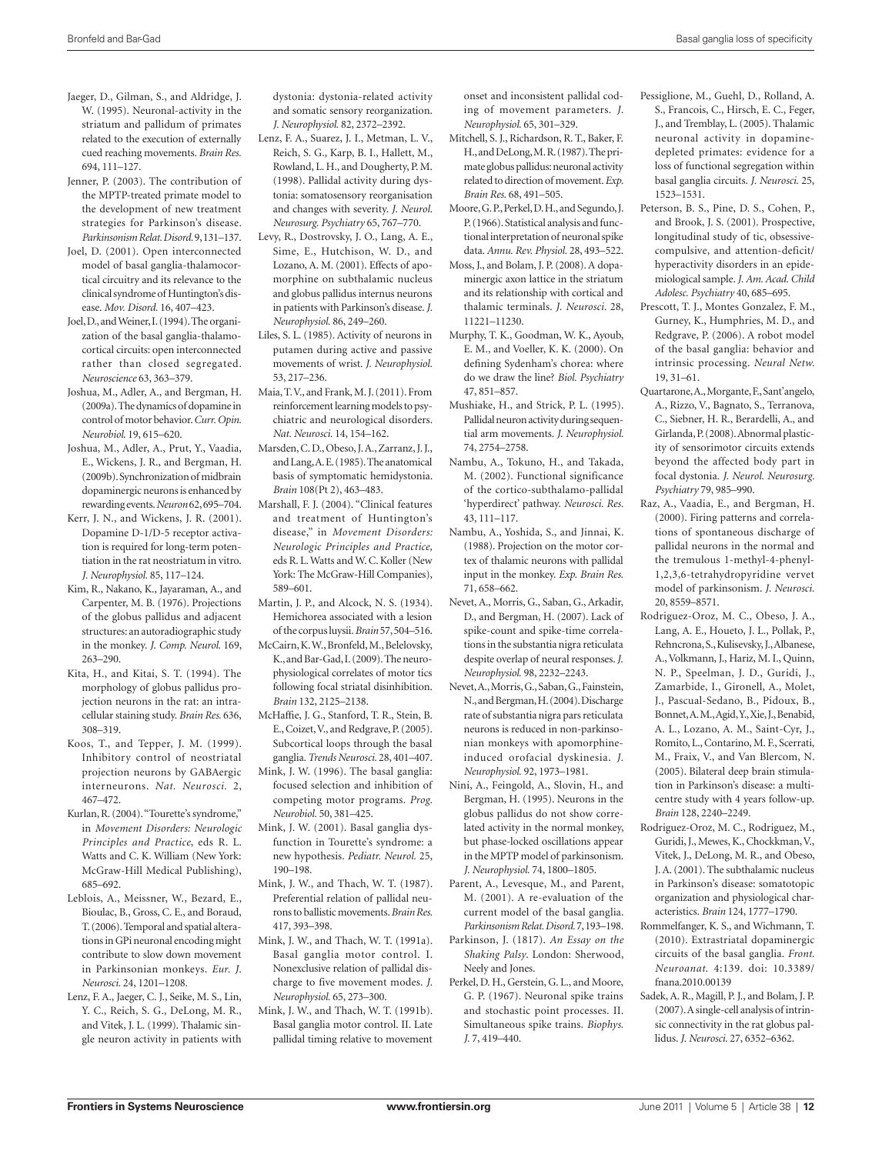- Jaeger, D., Gilman, S., and Aldridge, J. W. (1995). Neuronal-activity in the striatum and pallidum of primates related to the execution of externally cued reaching movements. *Brain Res.*  694, 111–127.
- Jenner, P. (2003). The contribution of the MPTP-treated primate model to the development of new treatment strategies for Parkinson's disease. *Parkinsonism Relat. Disord.* 9, 131–137.
- Joel, D. (2001). Open interconnected model of basal ganglia-thalamocortical circuitry and its relevance to the clinical syndrome of Huntington's disease. *Mov. Disord.* 16, 407–423.
- Joel, D., and Weiner, I. (1994). The organization of the basal ganglia-thalamocortical circuits: open interconnected rather than closed segregated. *Neuroscience* 63, 363–379.
- Joshua, M., Adler, A., and Bergman, H. (2009a). The dynamics of dopamine in control of motor behavior. *Curr. Opin. Neurobiol*. 19, 615–620.
- Joshua, M., Adler, A., Prut, Y., Vaadia, E., Wickens, J. R., and Bergman, H. (2009b). Synchronization of midbrain dopaminergic neurons is enhanced by rewarding events. *Neuron* 62, 695–704.
- Kerr, J. N., and Wickens, J. R. (2001). Dopamine D-1/D-5 receptor activation is required for long-term potentiation in the rat neostriatum in vitro. *J. Neurophysiol.* 85, 117–124.
- Kim, R., Nakano, K., Jayaraman, A., and Carpenter, M. B. (1976). Projections of the globus pallidus and adjacent structures: an autoradiographic study in the monkey. *J. Comp. Neurol.* 169, 263–290.
- Kita, H., and Kitai, S. T. (1994). The morphology of globus pallidus projection neurons in the rat: an intracellular staining study. *Brain Res.* 636, 308–319.
- Koos, T., and Tepper, J. M. (1999). Inhibitory control of neostriatal projection neurons by GABAergic interneurons. *Nat. Neurosci.* 2, 467–472.
- Kurlan, R. (2004). "Tourette's syndrome," in *Movement Disorders: Neurologic Principles and Practice*, eds R. L. Watts and C. K. William (New York: McGraw-Hill Medical Publishing), 685–692.
- Leblois, A., Meissner, W., Bezard, E., Bioulac, B., Gross, C. E., and Boraud, T. (2006). Temporal and spatial alterations in GPi neuronal encoding might contribute to slow down movement in Parkinsonian monkeys. *Eur. J. Neurosci.* 24, 1201–1208.
- Lenz, F. A., Jaeger, C. J., Seike, M. S., Lin, Y. C., Reich, S. G., DeLong, M. R., and Vitek, J. L. (1999). Thalamic single neuron activity in patients with

dystonia: dystonia-related activity and somatic sensory reorganization. *J. Neurophysiol.* 82, 2372–2392.

- Lenz, F. A., Suarez, J. I., Metman, L. V., Reich, S. G., Karp, B. I., Hallett, M., Rowland, L. H., and Dougherty, P. M. (1998). Pallidal activity during dystonia: somatosensory reorganisation and changes with severity. *J. Neurol. Neurosurg. Psychiatry* 65, 767–770.
- Levy, R., Dostrovsky, J. O., Lang, A. E., Sime, E., Hutchison, W. D., and Lozano, A. M. (2001). Effects of apomorphine on subthalamic nucleus and globus pallidus internus neurons in patients with Parkinson's disease. *J. Neurophysiol.* 86, 249–260.
- Liles, S. L. (1985). Activity of neurons in putamen during active and passive movements of wrist. *J. Neurophysiol.*  53, 217–236.

Maia, T. V., and Frank, M. J. (2011). From reinforcement learning models to psychiatric and neurological disorders. *Nat. Neurosci.* 14, 154–162.

- Marsden, C. D., Obeso, J. A., Zarranz, J. J., and Lang, A. E. (1985). The anatomical basis of symptomatic hemidystonia. *Brain* 108(Pt 2), 463–483. Marshall, F. J. (2004). "Clinical features
- and treatment of Huntington's disease," in *Movement Disorders: Neurologic Principles and Practice,* eds R. L. Watts and W. C. Koller (New York: The McGraw-Hill Companies), 589–601.
- Martin, J. P., and Alcock, N. S. (1934). Hemichorea associated with a lesion of the corpus luysii. *Brain* 57, 504–516.
- McCairn, K. W., Bronfeld, M., Belelovsky, K., and Bar-Gad, I. (2009). The neurophysiological correlates of motor tics following focal striatal disinhibition. *Brain* 132, 2125–2138.
- McHaffie, J. G., Stanford, T. R., Stein, B. E., Coizet, V., and Redgrave, P. (2005). Subcortical loops through the basal ganglia. *Trends Neurosci.* 28, 401–407.
- Mink, J. W. (1996). The basal ganglia: focused selection and inhibition of competing motor programs. *Prog. Neurobiol.* 50, 381–425.
- Mink, J. W. (2001). Basal ganglia dysfunction in Tourette's syndrome: a new hypothesis. *Pediatr. Neurol.* 25, 190–198.
- Mink, J. W., and Thach, W. T. (1987). Preferential relation of pallidal neurons to ballistic movements. *Brain Res.*  417, 393–398.
- Mink, J. W., and Thach, W. T. (1991a). Basal ganglia motor control. I. Nonexclusive relation of pallidal discharge to five movement modes. *J. Neurophysiol.* 65, 273–300.
- Mink, J. W., and Thach, W. T. (1991b). Basal ganglia motor control. II. Late pallidal timing relative to movement

onset and inconsistent pallidal coding of movement parameters. *J. Neurophysiol.* 65, 301–329.

- Mitchell, S. J., Richardson, R. T., Baker, F. H., and DeLong, M. R. (1987). The primate globus pallidus: neuronal activity related to direction of movement. *Exp. Brain Res.* 68, 491–505.
- Moore, G. P., Perkel, D. H., and Segundo, J. P. (1966). Statistical analysis and functional interpretation of neuronal spike data. *Annu. Rev. Physiol.* 28, 493–522.
- Moss, J., and Bolam, J. P. (2008). A dopaminergic axon lattice in the striatum and its relationship with cortical and thalamic terminals. *J. Neurosci.* 28, 11221–11230.
- Murphy, T. K., Goodman, W. K., Ayoub, E. M., and Voeller, K. K. (2000). On defining Sydenham's chorea: where do we draw the line? *Biol. Psychiatry* 47, 851–857.
- Mushiake, H., and Strick, P. L. (1995). Pallidal neuron activity during sequential arm movements. *J. Neurophysiol.*  74, 2754–2758.
- Nambu, A., Tokuno, H., and Takada, M. (2002). Functional significance of the cortico-subthalamo-pallidal 'hyperdirect' pathway. *Neurosci. Res.*  43, 111–117.
- Nambu, A., Yoshida, S., and Jinnai, K. (1988). Projection on the motor cortex of thalamic neurons with pallidal input in the monkey. *Exp. Brain Res.*  71, 658–662.
- Nevet, A., Morris, G., Saban, G., Arkadir, D., and Bergman, H. (2007). Lack of spike-count and spike-time correlations in the substantia nigra reticulata despite overlap of neural responses. *J. Neurophysiol.* 98, 2232–2243.
- Nevet, A., Morris, G., Saban, G., Fainstein, N., and Bergman, H. (2004). Discharge rate of substantia nigra pars reticulata neurons is reduced in non-parkinsonian monkeys with apomorphineinduced orofacial dyskinesia. *J. Neurophysiol.* 92, 1973–1981.
- Nini, A., Feingold, A., Slovin, H., and Bergman, H. (1995). Neurons in the globus pallidus do not show correlated activity in the normal monkey, but phase-locked oscillations appear in the MPTP model of parkinsonism. *J. Neurophysiol.* 74, 1800–1805.
- Parent, A., Levesque, M., and Parent, M. (2001). A re-evaluation of the current model of the basal ganglia. *Parkinsonism Relat. Disord.* 7, 193–198.
- Parkinson, J. (1817). *An Essay on the Shaking Palsy*. London: Sherwood, Neely and Jones.
- Perkel, D. H., Gerstein, G. L., and Moore, G. P. (1967). Neuronal spike trains and stochastic point processes. II. Simultaneous spike trains. *Biophys. J.* 7, 419–440.
- Pessiglione, M., Guehl, D., Rolland, A. S., Francois, C., Hirsch, E. C., Feger, J., and Tremblay, L. (2005). Thalamic neuronal activity in dopaminedepleted primates: evidence for a loss of functional segregation within basal ganglia circuits. *J. Neurosci.* 25, 1523–1531.
- Peterson, B. S., Pine, D. S., Cohen, P., and Brook, J. S. (2001). Prospective, longitudinal study of tic, obsessivecompulsive, and attention-deficit/ hyperactivity disorders in an epidemiological sample. *J. Am. Acad. Child Adolesc. Psychiatry* 40, 685–695.
- Prescott, T. J., Montes Gonzalez, F. M., Gurney, K., Humphries, M. D., and Redgrave, P. (2006). A robot model of the basal ganglia: behavior and intrinsic processing. *Neural Netw.*  19, 31–61.
- Quartarone, A., Morgante, F., Sant'angelo, A., Rizzo, V., Bagnato, S., Terranova, C., Siebner, H. R., Berardelli, A., and Girlanda, P. (2008). Abnormal plasticity of sensorimotor circuits extends beyond the affected body part in focal dystonia. *J. Neurol. Neurosurg. Psychiatry* 79, 985–990.
- Raz, A., Vaadia, E., and Bergman, H. (2000). Firing patterns and correlations of spontaneous discharge of pallidal neurons in the normal and the tremulous 1-methyl-4-phenyl-1,2,3,6-tetrahydropyridine vervet model of parkinsonism. *J. Neurosci.*  20, 8559–8571.
- Rodriguez-Oroz, M. C., Obeso, J. A., Lang, A. E., Houeto, J. L., Pollak, P., Rehncrona, S., Kulisevsky, J., Albanese, A., Volkmann, J., Hariz, M. I., Quinn, N. P., Speelman, J. D., Guridi, J., Zamarbide, I., Gironell, A., Molet, J., Pascual-Sedano, B., Pidoux, B., Bonnet, A. M., Agid, Y., Xie, J., Benabid, A. L., Lozano, A. M., Saint-Cyr, J., Romito, L., Contarino, M. F., Scerrati, M., Fraix, V., and Van Blercom, N. (2005). Bilateral deep brain stimulation in Parkinson's disease: a multicentre study with 4 years follow-up. *Brain* 128, 2240–2249.
- Rodriguez-Oroz, M. C., Rodriguez, M., Guridi, J., Mewes, K., Chockkman, V., Vitek, J., DeLong, M. R., and Obeso, J. A. (2001). The subthalamic nucleus in Parkinson's disease: somatotopic organization and physiological characteristics. *Brain* 124, 1777–1790.
- Rommelfanger, K. S., and Wichmann, T. (2010). Extrastriatal dopaminergic circuits of the basal ganglia. *Front. Neuroanat.* 4:139. doi: 10.3389/ fnana.2010.00139
- Sadek, A. R., Magill, P. J., and Bolam, J. P. (2007). A single-cell analysis of intrinsic connectivity in the rat globus pallidus. *J. Neurosci.* 27, 6352–6362.